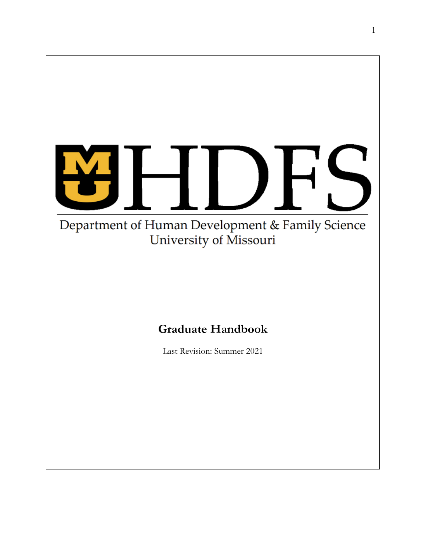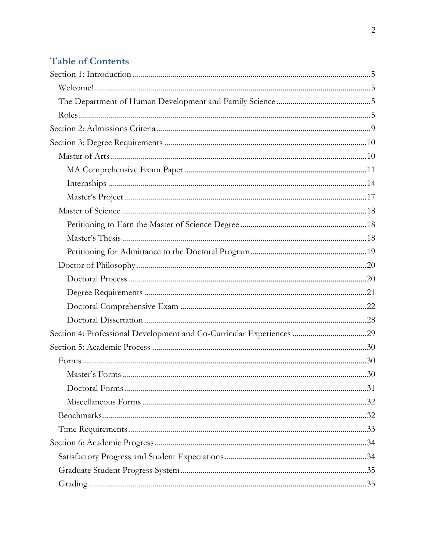# **Table of Contents**

| Section 4: Professional Development and Co-Curricular Experiences 29 |  |
|----------------------------------------------------------------------|--|
|                                                                      |  |
|                                                                      |  |
|                                                                      |  |
|                                                                      |  |
|                                                                      |  |
|                                                                      |  |
|                                                                      |  |
|                                                                      |  |
|                                                                      |  |
|                                                                      |  |
|                                                                      |  |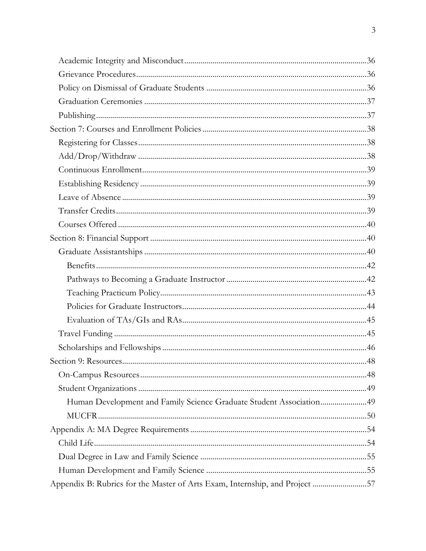| Human Development and Family Science Graduate Student Association49         |  |
|-----------------------------------------------------------------------------|--|
|                                                                             |  |
|                                                                             |  |
|                                                                             |  |
|                                                                             |  |
|                                                                             |  |
| Appendix B: Rubrics for the Master of Arts Exam, Internship, and Project 57 |  |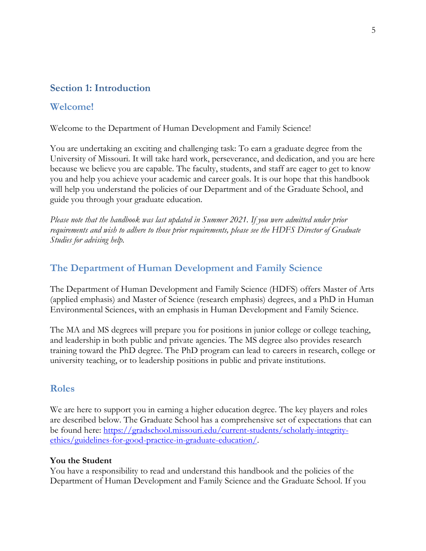## <span id="page-4-0"></span>**Section 1: Introduction**

### <span id="page-4-1"></span>**Welcome!**

Welcome to the Department of Human Development and Family Science!

You are undertaking an exciting and challenging task: To earn a graduate degree from the University of Missouri. It will take hard work, perseverance, and dedication, and you are here because we believe you are capable. The faculty, students, and staff are eager to get to know you and help you achieve your academic and career goals. It is our hope that this handbook will help you understand the policies of our Department and of the Graduate School, and guide you through your graduate education.

*Please note that the handbook was last updated in Summer 2021. If you were admitted under prior requirements and wish to adhere to those prior requirements, please see the HDFS Director of Graduate Studies for advising help.*

## <span id="page-4-2"></span>**The Department of Human Development and Family Science**

The Department of Human Development and Family Science (HDFS) offers Master of Arts (applied emphasis) and Master of Science (research emphasis) degrees, and a PhD in Human Environmental Sciences, with an emphasis in Human Development and Family Science.

The MA and MS degrees will prepare you for positions in junior college or college teaching, and leadership in both public and private agencies. The MS degree also provides research training toward the PhD degree. The PhD program can lead to careers in research, college or university teaching, or to leadership positions in public and private institutions.

### <span id="page-4-3"></span>**Roles**

We are here to support you in earning a higher education degree. The key players and roles are described below. The Graduate School has a comprehensive set of expectations that can be found here: [https://gradschool.missouri.edu/current-students/scholarly-integrity](https://gradschool.missouri.edu/current-students/scholarly-integrity-ethics/guidelines-for-good-practice-in-graduate-education/)[ethics/guidelines-for-good-practice-in-graduate-education/.](https://gradschool.missouri.edu/current-students/scholarly-integrity-ethics/guidelines-for-good-practice-in-graduate-education/)

### **You the Student**

You have a responsibility to read and understand this handbook and the policies of the Department of Human Development and Family Science and the Graduate School. If you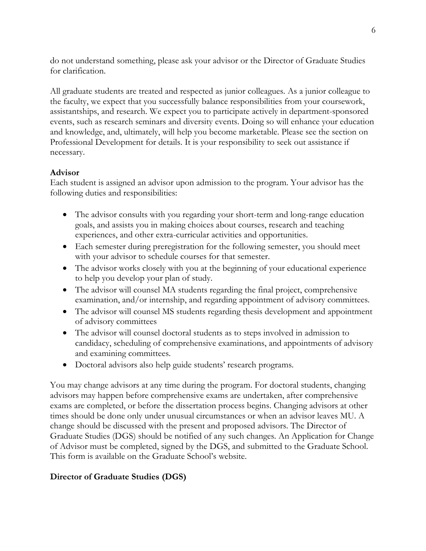do not understand something, please ask your advisor or the Director of Graduate Studies for clarification.

All graduate students are treated and respected as junior colleagues. As a junior colleague to the faculty, we expect that you successfully balance responsibilities from your coursework, assistantships, and research. We expect you to participate actively in department-sponsored events, such as research seminars and diversity events. Doing so will enhance your education and knowledge, and, ultimately, will help you become marketable. Please see the section on Professional Development for details. It is your responsibility to seek out assistance if necessary.

### **Advisor**

Each student is assigned an advisor upon admission to the program. Your advisor has the following duties and responsibilities:

- The advisor consults with you regarding your short-term and long-range education goals, and assists you in making choices about courses, research and teaching experiences, and other extra-curricular activities and opportunities.
- Each semester during preregistration for the following semester, you should meet with your advisor to schedule courses for that semester.
- The advisor works closely with you at the beginning of your educational experience to help you develop your plan of study.
- The advisor will counsel MA students regarding the final project, comprehensive examination, and/or internship, and regarding appointment of advisory committees.
- The advisor will counsel MS students regarding thesis development and appointment of advisory committees
- The advisor will counsel doctoral students as to steps involved in admission to candidacy, scheduling of comprehensive examinations, and appointments of advisory and examining committees.
- Doctoral advisors also help guide students' research programs.

You may change advisors at any time during the program. For doctoral students, changing advisors may happen before comprehensive exams are undertaken, after comprehensive exams are completed, or before the dissertation process begins. Changing advisors at other times should be done only under unusual circumstances or when an advisor leaves MU. A change should be discussed with the present and proposed advisors. The Director of Graduate Studies (DGS) should be notified of any such changes. An Application for Change of Advisor must be completed, signed by the DGS, and submitted to the Graduate School. This form is available on the Graduate School's website.

## **Director of Graduate Studies (DGS)**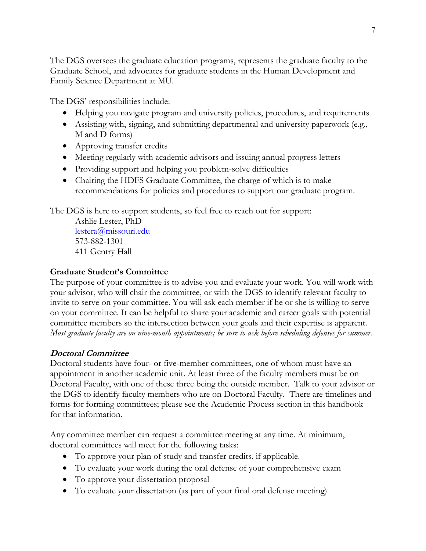The DGS oversees the graduate education programs, represents the graduate faculty to the Graduate School, and advocates for graduate students in the Human Development and Family Science Department at MU.

The DGS' responsibilities include:

- Helping you navigate program and university policies, procedures, and requirements
- Assisting with, signing, and submitting departmental and university paperwork (e.g., M and D forms)
- Approving transfer credits
- Meeting regularly with academic advisors and issuing annual progress letters
- Providing support and helping you problem-solve difficulties
- Chairing the HDFS Graduate Committee, the charge of which is to make recommendations for policies and procedures to support our graduate program.

The DGS is here to support students, so feel free to reach out for support:

Ashlie Lester, PhD [lestera@missouri.edu](mailto:lestera@missouri.edu) 573-882-1301 411 Gentry Hall

### **Graduate Student's Committee**

The purpose of your committee is to advise you and evaluate your work. You will work with your advisor, who will chair the committee, or with the DGS to identify relevant faculty to invite to serve on your committee. You will ask each member if he or she is willing to serve on your committee. It can be helpful to share your academic and career goals with potential committee members so the intersection between your goals and their expertise is apparent. *Most graduate faculty are on nine-month appointments; be sure to ask before scheduling defenses for summer.*

## **Doctoral Committee**

Doctoral students have four- or five-member committees, one of whom must have an appointment in another academic unit. At least three of the faculty members must be on Doctoral Faculty, with one of these three being the outside member. Talk to your advisor or the DGS to identify faculty members who are on Doctoral Faculty. There are timelines and forms for forming committees; please see the Academic Process section in this handbook for that information.

Any committee member can request a committee meeting at any time. At minimum, doctoral committees will meet for the following tasks:

- To approve your plan of study and transfer credits, if applicable.
- To evaluate your work during the oral defense of your comprehensive exam
- To approve your dissertation proposal
- To evaluate your dissertation (as part of your final oral defense meeting)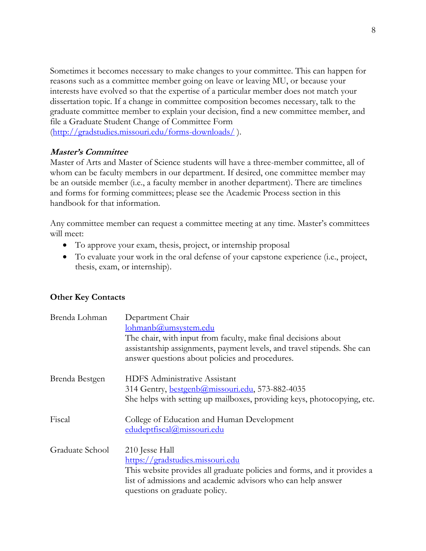Sometimes it becomes necessary to make changes to your committee. This can happen for reasons such as a committee member going on leave or leaving MU, or because your interests have evolved so that the expertise of a particular member does not match your dissertation topic. If a change in committee composition becomes necessary, talk to the graduate committee member to explain your decision, find a new committee member, and file a Graduate Student Change of Committee Form

[\(http://gradstudies.missouri.edu/forms-downloads/](http://gradstudies.missouri.edu/forms-downloads/) ).

### **Master's Committee**

Master of Arts and Master of Science students will have a three-member committee, all of whom can be faculty members in our department. If desired, one committee member may be an outside member (i.e., a faculty member in another department). There are timelines and forms for forming committees; please see the Academic Process section in this handbook for that information.

Any committee member can request a committee meeting at any time. Master's committees will meet:

- To approve your exam, thesis, project, or internship proposal
- To evaluate your work in the oral defense of your capstone experience (i.e., project, thesis, exam, or internship).

### **Other Key Contacts**

| Brenda Lohman   | Department Chair                                                                                                           |
|-----------------|----------------------------------------------------------------------------------------------------------------------------|
|                 | lohmanb@umsystem.edu                                                                                                       |
|                 | The chair, with input from faculty, make final decisions about                                                             |
|                 | assistantship assignments, payment levels, and travel stipends. She can<br>answer questions about policies and procedures. |
| Brenda Bestgen  | <b>HDFS</b> Administrative Assistant                                                                                       |
|                 | 314 Gentry, <b>bestgenb@missouri.edu</b> , 573-882-4035                                                                    |
|                 | She helps with setting up mailboxes, providing keys, photocopying, etc.                                                    |
| Fiscal          | College of Education and Human Development                                                                                 |
|                 | edudeptfiscal@missouri.edu                                                                                                 |
| Graduate School | 210 Jesse Hall                                                                                                             |
|                 | https://gradstudies.missouri.edu                                                                                           |
|                 | This website provides all graduate policies and forms, and it provides a                                                   |
|                 | list of admissions and academic advisors who can help answer                                                               |
|                 | questions on graduate policy.                                                                                              |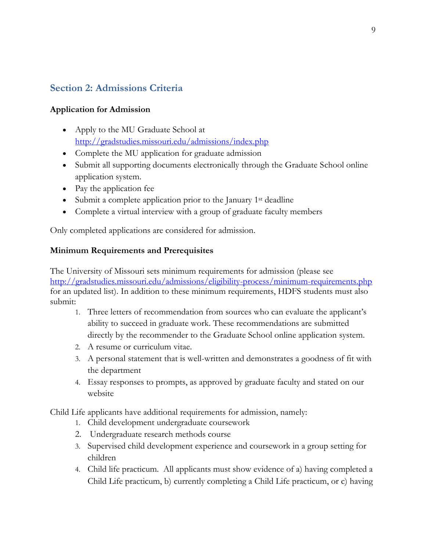## <span id="page-8-0"></span>**Section 2: Admissions Criteria**

### **Application for Admission**

- Apply to the MU Graduate School at <http://gradstudies.missouri.edu/admissions/index.php>
- Complete the MU application for graduate admission
- Submit all supporting documents electronically through the Graduate School online application system.
- Pay the application fee
- Submit a complete application prior to the January 1<sup>st</sup> deadline
- Complete a virtual interview with a group of graduate faculty members

Only completed applications are considered for admission.

### **Minimum Requirements and Prerequisites**

The University of Missouri sets minimum requirements for admission (please see <http://gradstudies.missouri.edu/admissions/eligibility-process/minimum-requirements.php> for an updated list). In addition to these minimum requirements, HDFS students must also submit:

- 1. Three letters of recommendation from sources who can evaluate the applicant's ability to succeed in graduate work. These recommendations are submitted directly by the recommender to the Graduate School online application system.
- 2. A resume or curriculum vitae.
- 3. A personal statement that is well-written and demonstrates a goodness of fit with the department
- 4. Essay responses to prompts, as approved by graduate faculty and stated on our website

Child Life applicants have additional requirements for admission, namely:

- 1. Child development undergraduate coursework
- 2. Undergraduate research methods course
- 3. Supervised child development experience and coursework in a group setting for children
- 4. Child life practicum. All applicants must show evidence of a) having completed a Child Life practicum, b) currently completing a Child Life practicum, or c) having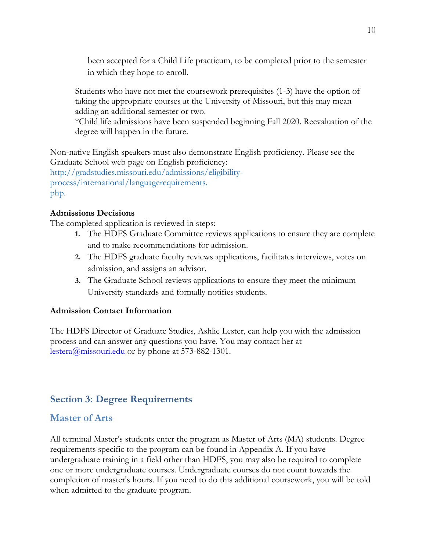been accepted for a Child Life practicum, to be completed prior to the semester in which they hope to enroll.

Students who have not met the coursework prerequisites (1-3) have the option of taking the appropriate courses at the University of Missouri, but this may mean adding an additional semester or two.

\*Child life admissions have been suspended beginning Fall 2020. Reevaluation of the degree will happen in the future.

Non-native English speakers must also demonstrate English proficiency. Please see the Graduate School web page on English proficiency:

http://gradstudies.missouri.edu/admissions/eligibilityprocess/international/languagerequirements. php.

### **Admissions Decisions**

The completed application is reviewed in steps:

- **1.** The HDFS Graduate Committee reviews applications to ensure they are complete and to make recommendations for admission.
- **2.** The HDFS graduate faculty reviews applications, facilitates interviews, votes on admission, and assigns an advisor.
- **3.** The Graduate School reviews applications to ensure they meet the minimum University standards and formally notifies students.

### **Admission Contact Information**

The HDFS Director of Graduate Studies, Ashlie Lester, can help you with the admission process and can answer any questions you have. You may contact her at [lestera@missouri.edu](mailto:lestera@missouri.edu) or by phone at 573-882-1301.

## <span id="page-9-0"></span>**Section 3: Degree Requirements**

## <span id="page-9-1"></span>**Master of Arts**

All terminal Master's students enter the program as Master of Arts (MA) students. Degree requirements specific to the program can be found in Appendix A. If you have undergraduate training in a field other than HDFS, you may also be required to complete one or more undergraduate courses. Undergraduate courses do not count towards the completion of master's hours. If you need to do this additional coursework, you will be told when admitted to the graduate program.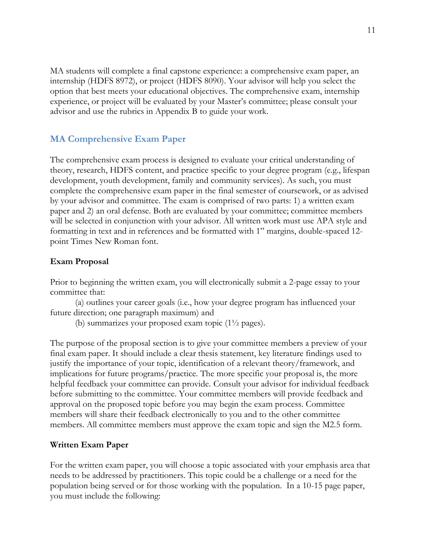MA students will complete a final capstone experience: a comprehensive exam paper, an internship (HDFS 8972), or project (HDFS 8090). Your advisor will help you select the option that best meets your educational objectives. The comprehensive exam, internship experience, or project will be evaluated by your Master's committee; please consult your advisor and use the rubrics in Appendix B to guide your work.

## <span id="page-10-0"></span>**MA Comprehensive Exam Paper**

The comprehensive exam process is designed to evaluate your critical understanding of theory, research, HDFS content, and practice specific to your degree program (e.g., lifespan development, youth development, family and community services). As such, you must complete the comprehensive exam paper in the final semester of coursework, or as advised by your advisor and committee. The exam is comprised of two parts: 1) a written exam paper and 2) an oral defense. Both are evaluated by your committee; committee members will be selected in conjunction with your advisor. All written work must use APA style and formatting in text and in references and be formatted with 1" margins, double-spaced 12 point Times New Roman font.

### **Exam Proposal**

Prior to beginning the written exam, you will electronically submit a 2-page essay to your committee that:

(a) outlines your career goals (i.e., how your degree program has influenced your future direction; one paragraph maximum) and

(b) summarizes your proposed exam topic  $(1\frac{1}{2})$  pages).

The purpose of the proposal section is to give your committee members a preview of your final exam paper. It should include a clear thesis statement, key literature findings used to justify the importance of your topic, identification of a relevant theory/framework, and implications for future programs/practice. The more specific your proposal is, the more helpful feedback your committee can provide. Consult your advisor for individual feedback before submitting to the committee. Your committee members will provide feedback and approval on the proposed topic before you may begin the exam process. Committee members will share their feedback electronically to you and to the other committee members. All committee members must approve the exam topic and sign the M2.5 form.

### **Written Exam Paper**

For the written exam paper, you will choose a topic associated with your emphasis area that needs to be addressed by practitioners. This topic could be a challenge or a need for the population being served or for those working with the population. In a 10-15 page paper, you must include the following: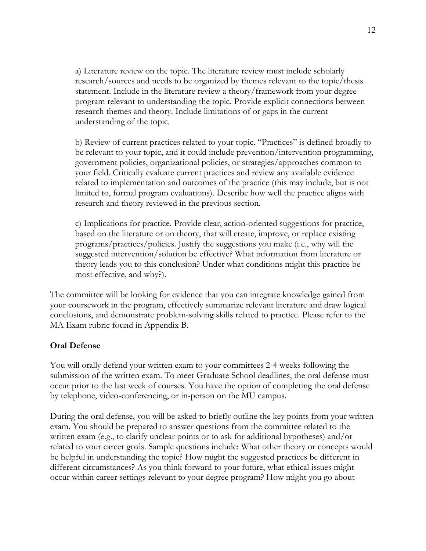a) Literature review on the topic. The literature review must include scholarly research/sources and needs to be organized by themes relevant to the topic/thesis statement. Include in the literature review a theory/framework from your degree program relevant to understanding the topic. Provide explicit connections between research themes and theory. Include limitations of or gaps in the current understanding of the topic.

b) Review of current practices related to your topic. "Practices" is defined broadly to be relevant to your topic, and it could include prevention/intervention programming, government policies, organizational policies, or strategies/approaches common to your field. Critically evaluate current practices and review any available evidence related to implementation and outcomes of the practice (this may include, but is not limited to, formal program evaluations). Describe how well the practice aligns with research and theory reviewed in the previous section.

c) Implications for practice. Provide clear, action-oriented suggestions for practice, based on the literature or on theory, that will create, improve, or replace existing programs/practices/policies. Justify the suggestions you make (i.e., why will the suggested intervention/solution be effective? What information from literature or theory leads you to this conclusion? Under what conditions might this practice be most effective, and why?).

The committee will be looking for evidence that you can integrate knowledge gained from your coursework in the program, effectively summarize relevant literature and draw logical conclusions, and demonstrate problem-solving skills related to practice. Please refer to the MA Exam rubric found in Appendix B.

### **Oral Defense**

You will orally defend your written exam to your committees 2-4 weeks following the submission of the written exam. To meet Graduate School deadlines, the oral defense must occur prior to the last week of courses. You have the option of completing the oral defense by telephone, video-conferencing, or in-person on the MU campus.

During the oral defense, you will be asked to briefly outline the key points from your written exam. You should be prepared to answer questions from the committee related to the written exam (e.g., to clarify unclear points or to ask for additional hypotheses) and/or related to your career goals. Sample questions include: What other theory or concepts would be helpful in understanding the topic? How might the suggested practices be different in different circumstances? As you think forward to your future, what ethical issues might occur within career settings relevant to your degree program? How might you go about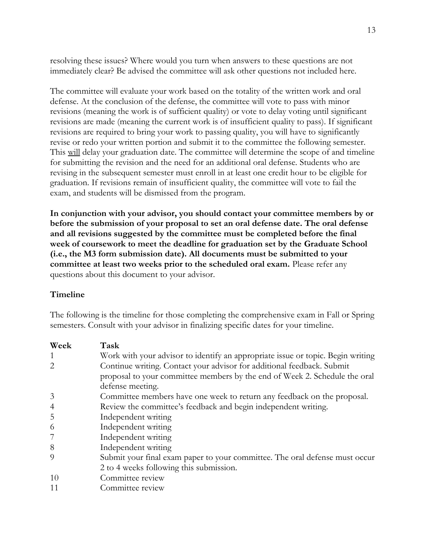resolving these issues? Where would you turn when answers to these questions are not immediately clear? Be advised the committee will ask other questions not included here.

The committee will evaluate your work based on the totality of the written work and oral defense. At the conclusion of the defense, the committee will vote to pass with minor revisions (meaning the work is of sufficient quality) or vote to delay voting until significant revisions are made (meaning the current work is of insufficient quality to pass). If significant revisions are required to bring your work to passing quality, you will have to significantly revise or redo your written portion and submit it to the committee the following semester. This will delay your graduation date. The committee will determine the scope of and timeline for submitting the revision and the need for an additional oral defense. Students who are revising in the subsequent semester must enroll in at least one credit hour to be eligible for graduation. If revisions remain of insufficient quality, the committee will vote to fail the exam, and students will be dismissed from the program.

**In conjunction with your advisor, you should contact your committee members by or before the submission of your proposal to set an oral defense date. The oral defense and all revisions suggested by the committee must be completed before the final week of coursework to meet the deadline for graduation set by the Graduate School (i.e., the M3 form submission date). All documents must be submitted to your committee at least two weeks prior to the scheduled oral exam.** Please refer any questions about this document to your advisor.

#### **Timeline**

The following is the timeline for those completing the comprehensive exam in Fall or Spring semesters. Consult with your advisor in finalizing specific dates for your timeline.

| Week           | Task                                                                            |
|----------------|---------------------------------------------------------------------------------|
|                | Work with your advisor to identify an appropriate issue or topic. Begin writing |
| 2              | Continue writing. Contact your advisor for additional feedback. Submit          |
|                | proposal to your committee members by the end of Week 2. Schedule the oral      |
|                | defense meeting.                                                                |
| 3              | Committee members have one week to return any feedback on the proposal.         |
| $\overline{4}$ | Review the committee's feedback and begin independent writing.                  |
| 5              | Independent writing                                                             |
| 6              | Independent writing                                                             |
| 7              | Independent writing                                                             |
| 8              | Independent writing                                                             |
| 9              | Submit your final exam paper to your committee. The oral defense must occur     |
|                | 2 to 4 weeks following this submission.                                         |
| 10             | Committee review                                                                |
| 11             | Committee review                                                                |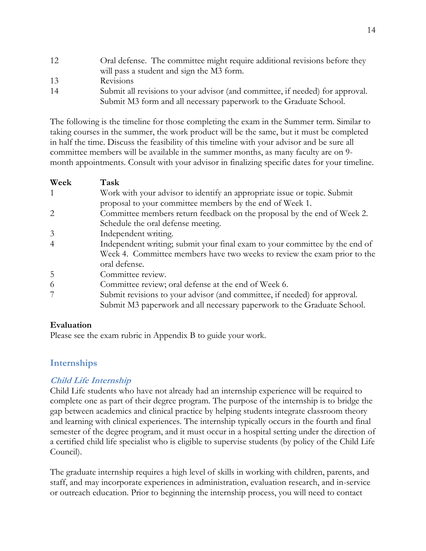12 Oral defense. The committee might require additional revisions before they will pass a student and sign the M3 form. 13 Revisions 14 Submit all revisions to your advisor (and committee, if needed) for approval. Submit M3 form and all necessary paperwork to the Graduate School.

The following is the timeline for those completing the exam in the Summer term. Similar to taking courses in the summer, the work product will be the same, but it must be completed in half the time. Discuss the feasibility of this timeline with your advisor and be sure all committee members will be available in the summer months, as many faculty are on 9 month appointments. Consult with your advisor in finalizing specific dates for your timeline.

| Week           | Task                                                                        |
|----------------|-----------------------------------------------------------------------------|
| 1              | Work with your advisor to identify an appropriate issue or topic. Submit    |
|                | proposal to your committee members by the end of Week 1.                    |
| 2              | Committee members return feedback on the proposal by the end of Week 2.     |
|                | Schedule the oral defense meeting.                                          |
| 3              | Independent writing.                                                        |
| $\overline{4}$ | Independent writing; submit your final exam to your committee by the end of |
|                | Week 4. Committee members have two weeks to review the exam prior to the    |
|                | oral defense.                                                               |
| 5              | Committee review.                                                           |
| 6              | Committee review; oral defense at the end of Week 6.                        |
|                | Submit revisions to your advisor (and committee, if needed) for approval.   |
|                | Submit M3 paperwork and all necessary paperwork to the Graduate School.     |

### **Evaluation**

Please see the exam rubric in Appendix B to guide your work.

## <span id="page-13-0"></span>**Internships**

### **Child Life Internship**

Child Life students who have not already had an internship experience will be required to complete one as part of their degree program. The purpose of the internship is to bridge the gap between academics and clinical practice by helping students integrate classroom theory and learning with clinical experiences. The internship typically occurs in the fourth and final semester of the degree program, and it must occur in a hospital setting under the direction of a certified child life specialist who is eligible to supervise students (by policy of the Child Life Council).

The graduate internship requires a high level of skills in working with children, parents, and staff, and may incorporate experiences in administration, evaluation research, and in-service or outreach education. Prior to beginning the internship process, you will need to contact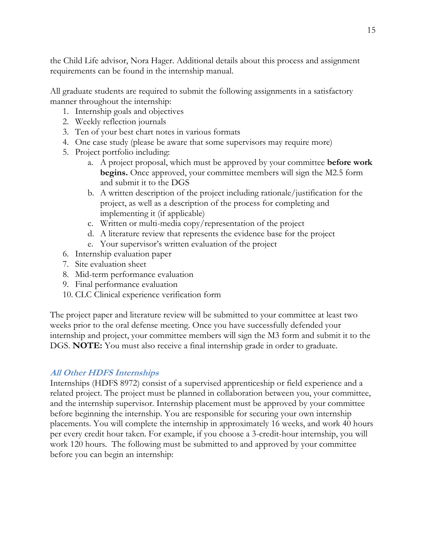the Child Life advisor, Nora Hager. Additional details about this process and assignment requirements can be found in the internship manual.

All graduate students are required to submit the following assignments in a satisfactory manner throughout the internship:

- 1. Internship goals and objectives
- 2. Weekly reflection journals
- 3. Ten of your best chart notes in various formats
- 4. One case study (please be aware that some supervisors may require more)
- 5. Project portfolio including:
	- a. A project proposal, which must be approved by your committee **before work begins.** Once approved, your committee members will sign the M2.5 form and submit it to the DGS
	- b. A written description of the project including rationale/justification for the project, as well as a description of the process for completing and implementing it (if applicable)
	- c. Written or multi-media copy/representation of the project
	- d. A literature review that represents the evidence base for the project
	- e. Your supervisor's written evaluation of the project
- 6. Internship evaluation paper
- 7. Site evaluation sheet
- 8. Mid-term performance evaluation
- 9. Final performance evaluation
- 10. CLC Clinical experience verification form

The project paper and literature review will be submitted to your committee at least two weeks prior to the oral defense meeting. Once you have successfully defended your internship and project, your committee members will sign the M3 form and submit it to the DGS. **NOTE:** You must also receive a final internship grade in order to graduate.

### **All Other HDFS Internships**

Internships (HDFS 8972) consist of a supervised apprenticeship or field experience and a related project. The project must be planned in collaboration between you, your committee, and the internship supervisor. Internship placement must be approved by your committee before beginning the internship. You are responsible for securing your own internship placements. You will complete the internship in approximately 16 weeks, and work 40 hours per every credit hour taken. For example, if you choose a 3-credit-hour internship, you will work 120 hours. The following must be submitted to and approved by your committee before you can begin an internship: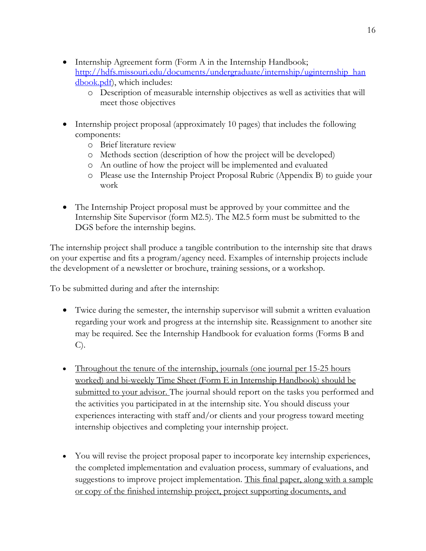- Internship Agreement form (Form A in the Internship Handbook; [http://hdfs.missouri.edu/documents/undergraduate/internship/uginternship\\_han](http://hdfs.missouri.edu/documents/undergraduate/internship/uginternship_han%20dbook.pdf)  [dbook.pdf\)](http://hdfs.missouri.edu/documents/undergraduate/internship/uginternship_han%20dbook.pdf), which includes:
	- o Description of measurable internship objectives as well as activities that will meet those objectives
- Internship project proposal (approximately 10 pages) that includes the following components:
	- o Brief literature review
	- o Methods section (description of how the project will be developed)
	- o An outline of how the project will be implemented and evaluated
	- o Please use the Internship Project Proposal Rubric (Appendix B) to guide your work
- The Internship Project proposal must be approved by your committee and the Internship Site Supervisor (form M2.5). The M2.5 form must be submitted to the DGS before the internship begins.

The internship project shall produce a tangible contribution to the internship site that draws on your expertise and fits a program/agency need. Examples of internship projects include the development of a newsletter or brochure, training sessions, or a workshop.

To be submitted during and after the internship:

- Twice during the semester, the internship supervisor will submit a written evaluation regarding your work and progress at the internship site. Reassignment to another site may be required. See the Internship Handbook for evaluation forms (Forms B and C).
- Throughout the tenure of the internship, journals (one journal per 15-25 hours worked) and bi-weekly Time Sheet (Form E in Internship Handbook) should be submitted to your advisor. The journal should report on the tasks you performed and the activities you participated in at the internship site. You should discuss your experiences interacting with staff and/or clients and your progress toward meeting internship objectives and completing your internship project.
- You will revise the project proposal paper to incorporate key internship experiences, the completed implementation and evaluation process, summary of evaluations, and suggestions to improve project implementation. This final paper, along with a sample or copy of the finished internship project, project supporting documents, and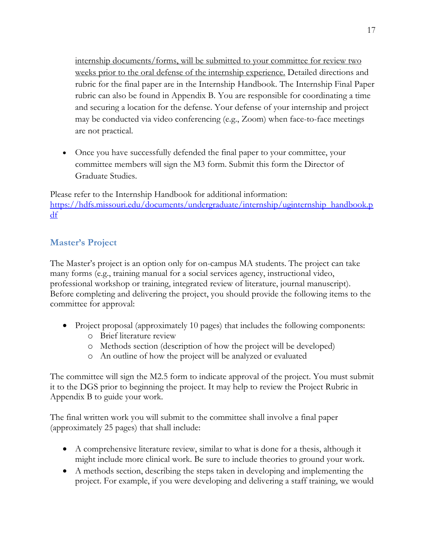17

internship documents/forms, will be submitted to your committee for review two weeks prior to the oral defense of the internship experience. Detailed directions and rubric for the final paper are in the Internship Handbook. The Internship Final Paper rubric can also be found in Appendix B. You are responsible for coordinating a time and securing a location for the defense. Your defense of your internship and project may be conducted via video conferencing (e.g., Zoom) when face-to-face meetings are not practical.

• Once you have successfully defended the final paper to your committee, your committee members will sign the M3 form. Submit this form the Director of Graduate Studies.

Please refer to the Internship Handbook for additional information: [https://hdfs.missouri.edu/documents/undergraduate/internship/uginternship\\_handbook.p](https://hdfs.missouri.edu/documents/undergraduate/internship/uginternship_handbook.pdf) [df](https://hdfs.missouri.edu/documents/undergraduate/internship/uginternship_handbook.pdf)

## <span id="page-16-0"></span>**Master's Project**

The Master's project is an option only for on-campus MA students. The project can take many forms (e.g., training manual for a social services agency, instructional video, professional workshop or training, integrated review of literature, journal manuscript). Before completing and delivering the project, you should provide the following items to the committee for approval:

- Project proposal (approximately 10 pages) that includes the following components:
	- o Brief literature review
	- o Methods section (description of how the project will be developed)
	- o An outline of how the project will be analyzed or evaluated

The committee will sign the M2.5 form to indicate approval of the project. You must submit it to the DGS prior to beginning the project. It may help to review the Project Rubric in Appendix B to guide your work.

The final written work you will submit to the committee shall involve a final paper (approximately 25 pages) that shall include:

- A comprehensive literature review, similar to what is done for a thesis, although it might include more clinical work. Be sure to include theories to ground your work.
- A methods section, describing the steps taken in developing and implementing the project. For example, if you were developing and delivering a staff training, we would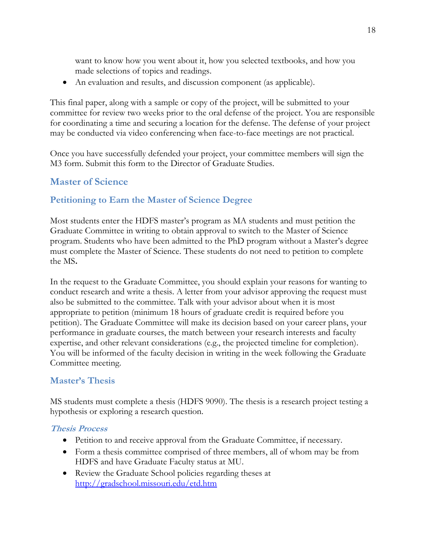want to know how you went about it, how you selected textbooks, and how you made selections of topics and readings.

• An evaluation and results, and discussion component (as applicable).

This final paper, along with a sample or copy of the project, will be submitted to your committee for review two weeks prior to the oral defense of the project. You are responsible for coordinating a time and securing a location for the defense. The defense of your project may be conducted via video conferencing when face-to-face meetings are not practical.

Once you have successfully defended your project, your committee members will sign the M3 form. Submit this form to the Director of Graduate Studies.

## <span id="page-17-0"></span>**Master of Science**

## <span id="page-17-1"></span>**Petitioning to Earn the Master of Science Degree**

Most students enter the HDFS master's program as MA students and must petition the Graduate Committee in writing to obtain approval to switch to the Master of Science program. Students who have been admitted to the PhD program without a Master's degree must complete the Master of Science. These students do not need to petition to complete the MS**.**

In the request to the Graduate Committee, you should explain your reasons for wanting to conduct research and write a thesis. A letter from your advisor approving the request must also be submitted to the committee. Talk with your advisor about when it is most appropriate to petition (minimum 18 hours of graduate credit is required before you petition). The Graduate Committee will make its decision based on your career plans, your performance in graduate courses, the match between your research interests and faculty expertise, and other relevant considerations (e.g., the projected timeline for completion). You will be informed of the faculty decision in writing in the week following the Graduate Committee meeting.

## <span id="page-17-2"></span>**Master's Thesis**

MS students must complete a thesis (HDFS 9090). The thesis is a research project testing a hypothesis or exploring a research question.

### **Thesis Process**

- Petition to and receive approval from the Graduate Committee, if necessary.
- Form a thesis committee comprised of three members, all of whom may be from HDFS and have Graduate Faculty status at MU.
- Review the Graduate School policies regarding theses at <http://gradschool.missouri.edu/etd.htm>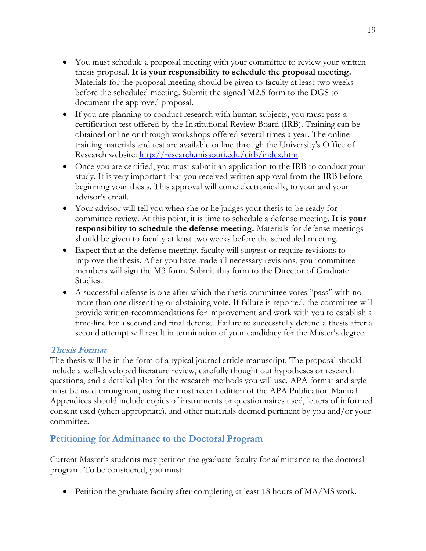- You must schedule a proposal meeting with your committee to review your written thesis proposal. **It is your responsibility to schedule the proposal meeting.** Materials for the proposal meeting should be given to faculty at least two weeks before the scheduled meeting. Submit the signed M2.5 form to the DGS to document the approved proposal.
- If you are planning to conduct research with human subjects, you must pass a certification test offered by the Institutional Review Board (IRB). Training can be obtained online or through workshops offered several times a year. The online training materials and test are available online through the University's Office of Research website: [http://research.missouri.edu/cirb/index.htm.](http://research.missouri.edu/cirb/index.htm)
- Once you are certified, you must submit an application to the IRB to conduct your study. It is very important that you received written approval from the IRB before beginning your thesis. This approval will come electronically, to your and your advisor's email.
- Your advisor will tell you when she or he judges your thesis to be ready for committee review. At this point, it is time to schedule a defense meeting. **It is your responsibility to schedule the defense meeting.** Materials for defense meetings should be given to faculty at least two weeks before the scheduled meeting.
- Expect that at the defense meeting, faculty will suggest or require revisions to improve the thesis. After you have made all necessary revisions, your committee members will sign the M3 form. Submit this form to the Director of Graduate Studies.
- A successful defense is one after which the thesis committee votes "pass" with no more than one dissenting or abstaining vote. If failure is reported, the committee will provide written recommendations for improvement and work with you to establish a time-line for a second and final defense. Failure to successfully defend a thesis after a second attempt will result in termination of your candidacy for the Master's degree.

### **Thesis Format**

The thesis will be in the form of a typical journal article manuscript. The proposal should include a well-developed literature review, carefully thought out hypotheses or research questions, and a detailed plan for the research methods you will use. APA format and style must be used throughout, using the most recent edition of the APA Publication Manual. Appendices should include copies of instruments or questionnaires used, letters of informed consent used (when appropriate), and other materials deemed pertinent by you and/or your committee.

## <span id="page-18-0"></span>**Petitioning for Admittance to the Doctoral Program**

Current Master's students may petition the graduate faculty for admittance to the doctoral program. To be considered, you must:

• Petition the graduate faculty after completing at least 18 hours of MA/MS work.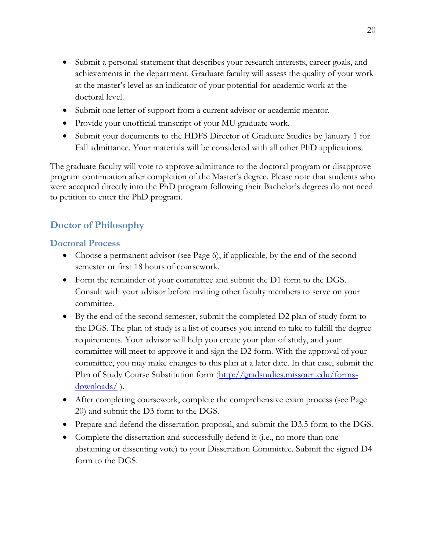- Submit a personal statement that describes your research interests, career goals, and achievements in the department. Graduate faculty will assess the quality of your work at the master's level as an indicator of your potential for academic work at the doctoral level.
- Submit one letter of support from a current advisor or academic mentor.
- Provide your unofficial transcript of your MU graduate work.
- Submit your documents to the HDFS Director of Graduate Studies by January 1 for Fall admittance. Your materials will be considered with all other PhD applications.

The graduate faculty will vote to approve admittance to the doctoral program or disapprove program continuation after completion of the Master's degree. Please note that students who were accepted directly into the PhD program following their Bachelor's degrees do not need to petition to enter the PhD program.

# <span id="page-19-0"></span>**Doctor of Philosophy**

## <span id="page-19-1"></span>**Doctoral Process**

- Choose a permanent advisor (see Page 6), if applicable, by the end of the second semester or first 18 hours of coursework.
- Form the remainder of your committee and submit the D1 form to the DGS. Consult with your advisor before inviting other faculty members to serve on your committee.
- By the end of the second semester, submit the completed D2 plan of study form to the DGS. The plan of study is a list of courses you intend to take to fulfill the degree requirements. Your advisor will help you create your plan of study, and your committee will meet to approve it and sign the D2 form. With the approval of your committee, you may make changes to this plan at a later date. In that case, submit the Plan of Study Course Substitution form [\(http://gradstudies.missouri.edu/forms](http://gradstudies.missouri.edu/forms-downloads/)[downloads/](http://gradstudies.missouri.edu/forms-downloads/) ).
- After completing coursework, complete the comprehensive exam process (see Page) 20) and submit the D3 form to the DGS.
- Prepare and defend the dissertation proposal, and submit the D3.5 form to the DGS.
- Complete the dissertation and successfully defend it (i.e., no more than one abstaining or dissenting vote) to your Dissertation Committee. Submit the signed D4 form to the DGS.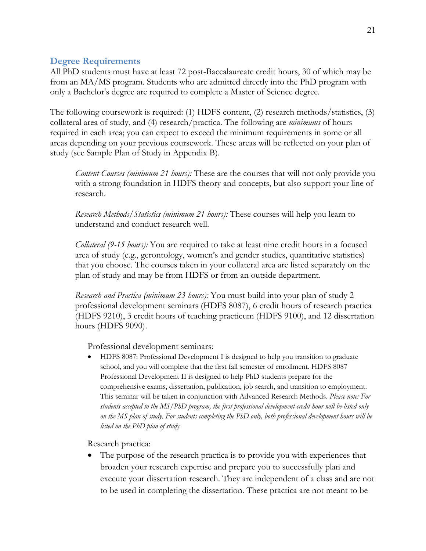### <span id="page-20-0"></span>**Degree Requirements**

All PhD students must have at least 72 post-Baccalaureate credit hours, 30 of which may be from an MA/MS program. Students who are admitted directly into the PhD program with only a Bachelor's degree are required to complete a Master of Science degree.

The following coursework is required: (1) HDFS content, (2) research methods/statistics, (3) collateral area of study, and (4) research/practica. The following are *minimums* of hours required in each area; you can expect to exceed the minimum requirements in some or all areas depending on your previous coursework. These areas will be reflected on your plan of study (see Sample Plan of Study in Appendix B).

*Content Courses (minimum 21 hours):* These are the courses that will not only provide you with a strong foundation in HDFS theory and concepts, but also support your line of research.

*Research Methods/Statistics (minimum 21 hours):* These courses will help you learn to understand and conduct research well.

*Collateral (9-15 hours):* You are required to take at least nine credit hours in a focused area of study (e.g., gerontology, women's and gender studies, quantitative statistics) that you choose. The courses taken in your collateral area are listed separately on the plan of study and may be from HDFS or from an outside department.

*Research and Practica (minimum 23 hours):* You must build into your plan of study 2 professional development seminars (HDFS 8087), 6 credit hours of research practica (HDFS 9210), 3 credit hours of teaching practicum (HDFS 9100), and 12 dissertation hours (HDFS 9090).

Professional development seminars:

• HDFS 8087: Professional Development I is designed to help you transition to graduate school, and you will complete that the first fall semester of enrollment. HDFS 8087 Professional Development II is designed to help PhD students prepare for the comprehensive exams, dissertation, publication, job search, and transition to employment. This seminar will be taken in conjunction with Advanced Research Methods. *Please note: For students accepted to the MS/PhD program, the first professional development credit hour will be listed only on the MS plan of study. For students completing the PhD only, both professional development hours will be listed on the PhD plan of study.*

Research practica:

• The purpose of the research practica is to provide you with experiences that broaden your research expertise and prepare you to successfully plan and execute your dissertation research. They are independent of a class and are not to be used in completing the dissertation. These practica are not meant to be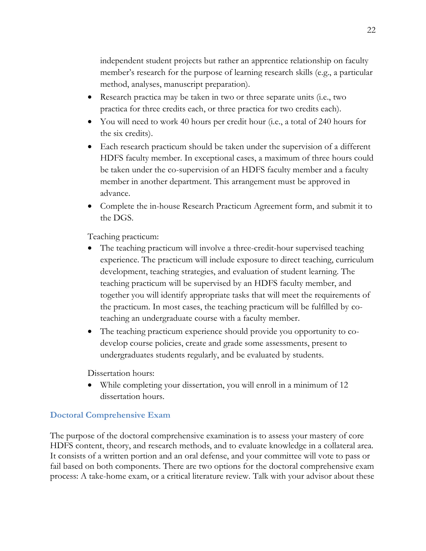independent student projects but rather an apprentice relationship on faculty member's research for the purpose of learning research skills (e.g., a particular method, analyses, manuscript preparation).

- Research practica may be taken in two or three separate units (i.e., two practica for three credits each, or three practica for two credits each).
- You will need to work 40 hours per credit hour (i.e., a total of 240 hours for the six credits).
- Each research practicum should be taken under the supervision of a different HDFS faculty member. In exceptional cases, a maximum of three hours could be taken under the co-supervision of an HDFS faculty member and a faculty member in another department. This arrangement must be approved in advance.
- Complete the in-house Research Practicum Agreement form, and submit it to the DGS.

Teaching practicum:

- The teaching practicum will involve a three-credit-hour supervised teaching experience. The practicum will include exposure to direct teaching, curriculum development, teaching strategies, and evaluation of student learning. The teaching practicum will be supervised by an HDFS faculty member, and together you will identify appropriate tasks that will meet the requirements of the practicum. In most cases, the teaching practicum will be fulfilled by coteaching an undergraduate course with a faculty member.
- The teaching practicum experience should provide you opportunity to codevelop course policies, create and grade some assessments, present to undergraduates students regularly, and be evaluated by students.

Dissertation hours:

• While completing your dissertation, you will enroll in a minimum of 12 dissertation hours.

## <span id="page-21-0"></span>**Doctoral Comprehensive Exam**

The purpose of the doctoral comprehensive examination is to assess your mastery of core HDFS content, theory, and research methods, and to evaluate knowledge in a collateral area. It consists of a written portion and an oral defense, and your committee will vote to pass or fail based on both components. There are two options for the doctoral comprehensive exam process: A take-home exam, or a critical literature review. Talk with your advisor about these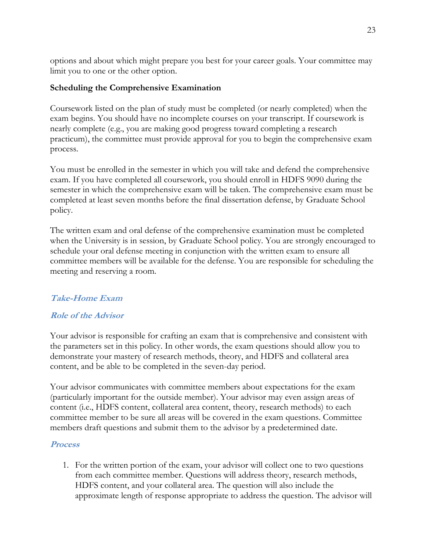options and about which might prepare you best for your career goals. Your committee may limit you to one or the other option.

### **Scheduling the Comprehensive Examination**

Coursework listed on the plan of study must be completed (or nearly completed) when the exam begins. You should have no incomplete courses on your transcript. If coursework is nearly complete (e.g., you are making good progress toward completing a research practicum), the committee must provide approval for you to begin the comprehensive exam process.

You must be enrolled in the semester in which you will take and defend the comprehensive exam. If you have completed all coursework, you should enroll in HDFS 9090 during the semester in which the comprehensive exam will be taken. The comprehensive exam must be completed at least seven months before the final dissertation defense, by Graduate School policy.

The written exam and oral defense of the comprehensive examination must be completed when the University is in session, by Graduate School policy. You are strongly encouraged to schedule your oral defense meeting in conjunction with the written exam to ensure all committee members will be available for the defense. You are responsible for scheduling the meeting and reserving a room.

## **Take-Home Exam**

### **Role of the Advisor**

Your advisor is responsible for crafting an exam that is comprehensive and consistent with the parameters set in this policy. In other words, the exam questions should allow you to demonstrate your mastery of research methods, theory, and HDFS and collateral area content, and be able to be completed in the seven-day period.

Your advisor communicates with committee members about expectations for the exam (particularly important for the outside member). Your advisor may even assign areas of content (i.e., HDFS content, collateral area content, theory, research methods) to each committee member to be sure all areas will be covered in the exam questions. Committee members draft questions and submit them to the advisor by a predetermined date.

### **Process**

1. For the written portion of the exam, your advisor will collect one to two questions from each committee member. Questions will address theory, research methods, HDFS content, and your collateral area. The question will also include the approximate length of response appropriate to address the question. The advisor will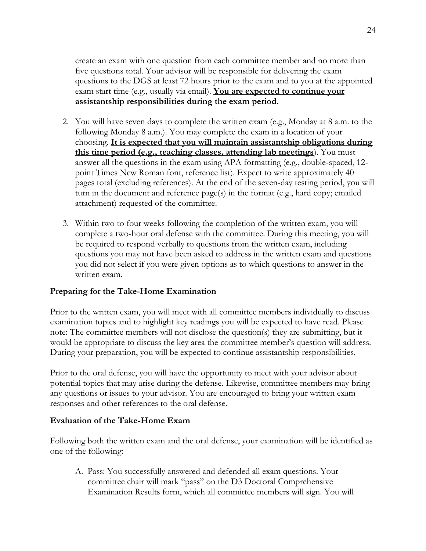create an exam with one question from each committee member and no more than five questions total. Your advisor will be responsible for delivering the exam questions to the DGS at least 72 hours prior to the exam and to you at the appointed exam start time (e.g., usually via email). **You are expected to continue your assistantship responsibilities during the exam period.**

- 2. You will have seven days to complete the written exam (e.g., Monday at 8 a.m. to the following Monday 8 a.m.). You may complete the exam in a location of your choosing. **It is expected that you will maintain assistantship obligations during this time period (e.g., teaching classes, attending lab meetings**). You must answer all the questions in the exam using APA formatting (e.g., double-spaced, 12 point Times New Roman font, reference list). Expect to write approximately 40 pages total (excluding references). At the end of the seven-day testing period, you will turn in the document and reference page(s) in the format (e.g., hard copy; emailed attachment) requested of the committee.
- 3. Within two to four weeks following the completion of the written exam, you will complete a two-hour oral defense with the committee. During this meeting, you will be required to respond verbally to questions from the written exam, including questions you may not have been asked to address in the written exam and questions you did not select if you were given options as to which questions to answer in the written exam.

### **Preparing for the Take-Home Examination**

Prior to the written exam, you will meet with all committee members individually to discuss examination topics and to highlight key readings you will be expected to have read. Please note: The committee members will not disclose the question(s) they are submitting, but it would be appropriate to discuss the key area the committee member's question will address. During your preparation, you will be expected to continue assistantship responsibilities.

Prior to the oral defense, you will have the opportunity to meet with your advisor about potential topics that may arise during the defense. Likewise, committee members may bring any questions or issues to your advisor. You are encouraged to bring your written exam responses and other references to the oral defense.

### **Evaluation of the Take-Home Exam**

Following both the written exam and the oral defense, your examination will be identified as one of the following:

A. Pass: You successfully answered and defended all exam questions. Your committee chair will mark "pass" on the D3 Doctoral Comprehensive Examination Results form, which all committee members will sign. You will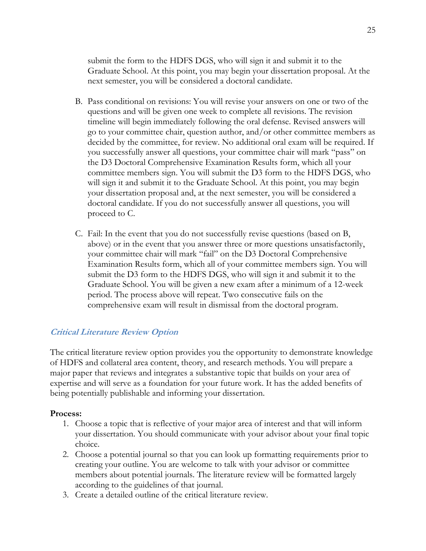submit the form to the HDFS DGS, who will sign it and submit it to the Graduate School. At this point, you may begin your dissertation proposal. At the next semester, you will be considered a doctoral candidate.

- B. Pass conditional on revisions: You will revise your answers on one or two of the questions and will be given one week to complete all revisions. The revision timeline will begin immediately following the oral defense. Revised answers will go to your committee chair, question author, and/or other committee members as decided by the committee, for review. No additional oral exam will be required. If you successfully answer all questions, your committee chair will mark "pass" on the D3 Doctoral Comprehensive Examination Results form, which all your committee members sign. You will submit the D3 form to the HDFS DGS, who will sign it and submit it to the Graduate School. At this point, you may begin your dissertation proposal and, at the next semester, you will be considered a doctoral candidate. If you do not successfully answer all questions, you will proceed to C.
- C. Fail: In the event that you do not successfully revise questions (based on B, above) or in the event that you answer three or more questions unsatisfactorily, your committee chair will mark "fail" on the D3 Doctoral Comprehensive Examination Results form, which all of your committee members sign. You will submit the D3 form to the HDFS DGS, who will sign it and submit it to the Graduate School. You will be given a new exam after a minimum of a 12-week period. The process above will repeat. Two consecutive fails on the comprehensive exam will result in dismissal from the doctoral program.

### **Critical Literature Review Option**

The critical literature review option provides you the opportunity to demonstrate knowledge of HDFS and collateral area content, theory, and research methods. You will prepare a major paper that reviews and integrates a substantive topic that builds on your area of expertise and will serve as a foundation for your future work. It has the added benefits of being potentially publishable and informing your dissertation.

#### **Process:**

- 1. Choose a topic that is reflective of your major area of interest and that will inform your dissertation. You should communicate with your advisor about your final topic choice.
- 2. Choose a potential journal so that you can look up formatting requirements prior to creating your outline. You are welcome to talk with your advisor or committee members about potential journals. The literature review will be formatted largely according to the guidelines of that journal.
- 3. Create a detailed outline of the critical literature review.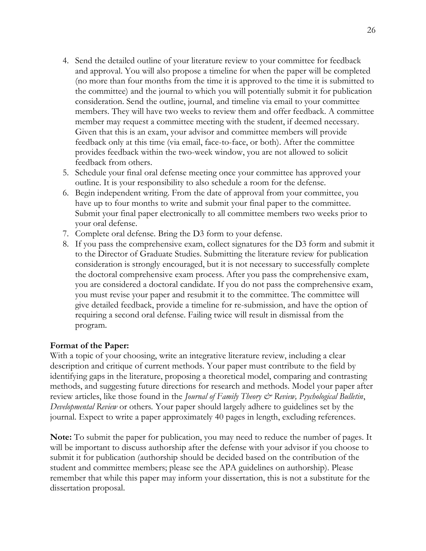- 4. Send the detailed outline of your literature review to your committee for feedback and approval. You will also propose a timeline for when the paper will be completed (no more than four months from the time it is approved to the time it is submitted to the committee) and the journal to which you will potentially submit it for publication consideration. Send the outline, journal, and timeline via email to your committee members. They will have two weeks to review them and offer feedback. A committee member may request a committee meeting with the student, if deemed necessary. Given that this is an exam, your advisor and committee members will provide feedback only at this time (via email, face-to-face, or both). After the committee provides feedback within the two-week window, you are not allowed to solicit feedback from others.
- 5. Schedule your final oral defense meeting once your committee has approved your outline. It is your responsibility to also schedule a room for the defense.
- 6. Begin independent writing. From the date of approval from your committee, you have up to four months to write and submit your final paper to the committee. Submit your final paper electronically to all committee members two weeks prior to your oral defense.
- 7. Complete oral defense. Bring the D3 form to your defense.
- 8. If you pass the comprehensive exam, collect signatures for the D3 form and submit it to the Director of Graduate Studies. Submitting the literature review for publication consideration is strongly encouraged, but it is not necessary to successfully complete the doctoral comprehensive exam process. After you pass the comprehensive exam, you are considered a doctoral candidate. If you do not pass the comprehensive exam, you must revise your paper and resubmit it to the committee. The committee will give detailed feedback, provide a timeline for re-submission, and have the option of requiring a second oral defense. Failing twice will result in dismissal from the program.

### **Format of the Paper:**

With a topic of your choosing, write an integrative literature review, including a clear description and critique of current methods. Your paper must contribute to the field by identifying gaps in the literature, proposing a theoretical model, comparing and contrasting methods, and suggesting future directions for research and methods. Model your paper after review articles, like those found in the *Journal of Family Theory & Review, Psychological Bulletin*, *Developmental Review* or others*.* Your paper should largely adhere to guidelines set by the journal. Expect to write a paper approximately 40 pages in length, excluding references.

**Note:** To submit the paper for publication, you may need to reduce the number of pages. It will be important to discuss authorship after the defense with your advisor if you choose to submit it for publication (authorship should be decided based on the contribution of the student and committee members; please see the APA guidelines on authorship). Please remember that while this paper may inform your dissertation, this is not a substitute for the dissertation proposal.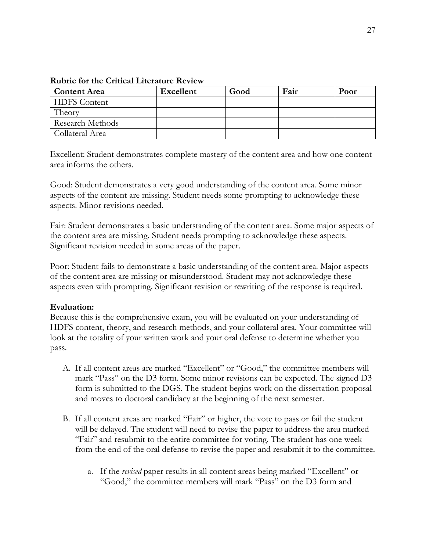| <b>Content Area</b>     | <b>Excellent</b> | Good | Fair | Poor |
|-------------------------|------------------|------|------|------|
| <b>HDFS</b> Content     |                  |      |      |      |
| Theory                  |                  |      |      |      |
| <b>Research Methods</b> |                  |      |      |      |
| Collateral Area         |                  |      |      |      |

**Rubric for the Critical Literature Review**

Excellent: Student demonstrates complete mastery of the content area and how one content area informs the others.

Good: Student demonstrates a very good understanding of the content area. Some minor aspects of the content are missing. Student needs some prompting to acknowledge these aspects. Minor revisions needed.

Fair: Student demonstrates a basic understanding of the content area. Some major aspects of the content area are missing. Student needs prompting to acknowledge these aspects. Significant revision needed in some areas of the paper.

Poor: Student fails to demonstrate a basic understanding of the content area. Major aspects of the content area are missing or misunderstood. Student may not acknowledge these aspects even with prompting. Significant revision or rewriting of the response is required.

### **Evaluation:**

Because this is the comprehensive exam, you will be evaluated on your understanding of HDFS content, theory, and research methods, and your collateral area. Your committee will look at the totality of your written work and your oral defense to determine whether you pass.

- A. If all content areas are marked "Excellent" or "Good," the committee members will mark "Pass" on the D3 form. Some minor revisions can be expected. The signed D3 form is submitted to the DGS. The student begins work on the dissertation proposal and moves to doctoral candidacy at the beginning of the next semester.
- B. If all content areas are marked "Fair" or higher, the vote to pass or fail the student will be delayed. The student will need to revise the paper to address the area marked "Fair" and resubmit to the entire committee for voting. The student has one week from the end of the oral defense to revise the paper and resubmit it to the committee.
	- a. If the *revised* paper results in all content areas being marked "Excellent" or "Good," the committee members will mark "Pass" on the D3 form and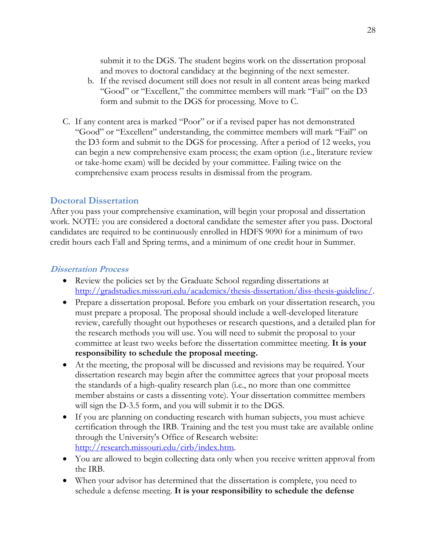submit it to the DGS. The student begins work on the dissertation proposal and moves to doctoral candidacy at the beginning of the next semester.

- b. If the revised document still does not result in all content areas being marked "Good" or "Excellent," the committee members will mark "Fail" on the D3 form and submit to the DGS for processing. Move to C.
- C. If any content area is marked "Poor" or if a revised paper has not demonstrated "Good" or "Excellent" understanding, the committee members will mark "Fail" on the D3 form and submit to the DGS for processing. After a period of 12 weeks, you can begin a new comprehensive exam process; the exam option (i.e., literature review or take-home exam) will be decided by your committee. Failing twice on the comprehensive exam process results in dismissal from the program.

### <span id="page-27-0"></span>**Doctoral Dissertation**

After you pass your comprehensive examination, will begin your proposal and dissertation work. NOTE: you are considered a doctoral candidate the semester after you pass. Doctoral candidates are required to be continuously enrolled in HDFS 9090 for a minimum of two credit hours each Fall and Spring terms, and a minimum of one credit hour in Summer.

#### **Dissertation Process**

- Review [t](http://gradstudies.missouri.edu/academics/thesis-dissertation/diss-thesis-guideline/)he policies set by the Graduate School regarding dissertations at [http://gradstudies.missouri.edu/academics/thesis-dissertation/diss-thesis-guideline/.](http://gradstudies.missouri.edu/academics/thesis-dissertation/diss-thesis-guideline/)
- Prepare a dissertation proposal. Before you embark on your dissertation research, you must prepare a proposal. The proposal should include a well-developed literature review, carefully thought out hypotheses or research questions, and a detailed plan for the research methods you will use. You will need to submit the proposal to your committee at least two weeks before the dissertation committee meeting. **It is your responsibility to schedule the proposal meeting.**
- At the meeting, the proposal will be discussed and revisions may be required. Your dissertation research may begin after the committee agrees that your proposal meets the standards of a high-quality research plan (i.e., no more than one committee member abstains or casts a dissenting vote). Your dissertation committee members will sign the D-3.5 form, and you will submit it to the DGS.
- If you are planning on conducting research with human subjects, you must achieve certification through the IRB. Training and the test you must take are available online through the University's Office of Research website: [http://research.missouri.edu/cirb/index.htm.](http://research.missouri.edu/cirb/index.htm)
- You are allowed to begin collecting data only when you receive written approval from the IRB.
- When your advisor has determined that the dissertation is complete, you need to schedule a defense meeting. **It is your responsibility to schedule the defense**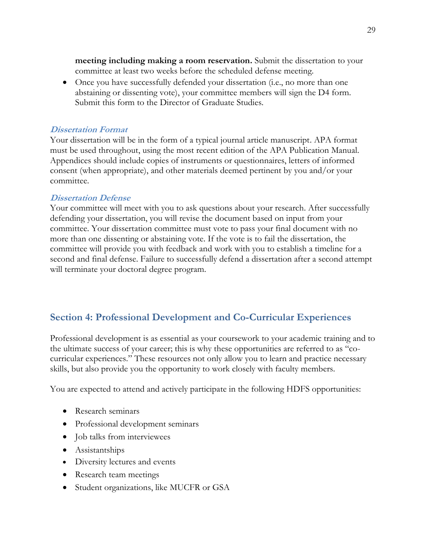**meeting including making a room reservation.** Submit the dissertation to your committee at least two weeks before the scheduled defense meeting.

• Once you have successfully defended your dissertation (i.e., no more than one abstaining or dissenting vote), your committee members will sign the D4 form. Submit this form to the Director of Graduate Studies.

#### **Dissertation Format**

Your dissertation will be in the form of a typical journal article manuscript. APA format must be used throughout, using the most recent edition of the APA Publication Manual. Appendices should include copies of instruments or questionnaires, letters of informed consent (when appropriate), and other materials deemed pertinent by you and/or your committee.

#### **Dissertation Defense**

Your committee will meet with you to ask questions about your research. After successfully defending your dissertation, you will revise the document based on input from your committee. Your dissertation committee must vote to pass your final document with no more than one dissenting or abstaining vote. If the vote is to fail the dissertation, the committee will provide you with feedback and work with you to establish a timeline for a second and final defense. Failure to successfully defend a dissertation after a second attempt will terminate your doctoral degree program.

## <span id="page-28-0"></span>**Section 4: Professional Development and Co-Curricular Experiences**

Professional development is as essential as your coursework to your academic training and to the ultimate success of your career; this is why these opportunities are referred to as "cocurricular experiences." These resources not only allow you to learn and practice necessary skills, but also provide you the opportunity to work closely with faculty members.

You are expected to attend and actively participate in the following HDFS opportunities:

- Research seminars
- Professional development seminars
- Job talks from interviewees
- Assistantships
- Diversity lectures and events
- Research team meetings
- Student organizations, like MUCFR or GSA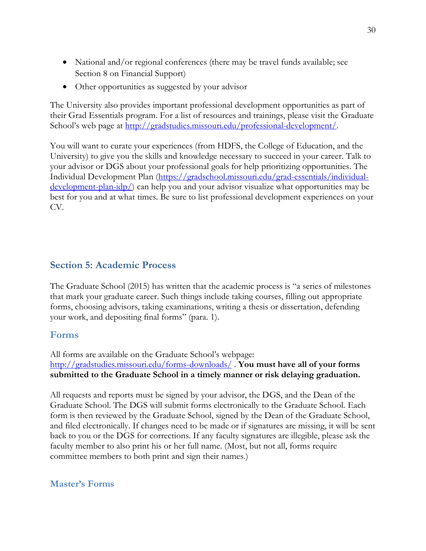- National and/or regional conferences (there may be travel funds available; see Section 8 on Financial Support)
- Other opportunities as suggested by your advisor

The University also provides important professional development opportunities as part of their Grad Essentials program. For a list of resources and trainings, please visit the Graduate School's web page at [http://gradstudies.missouri.edu/professional-development/.](http://gradstudies.missouri.edu/professional-development/)

You will want to curate your experiences (from HDFS, the College of Education, and the University) to give you the skills and knowledge necessary to succeed in your career. Talk to your advisor or DGS about your professional goals for help prioritizing opportunities. The Individual Development Plan [\(https://gradschool.missouri.edu/grad-essentials/individual](https://gradschool.missouri.edu/grad-essentials/individual-development-plan-idp/) $development-plan-idp/$  can help you and your advisor visualize what opportunities may be best for you and at what times. Be sure to list professional development experiences on your CV.

### <span id="page-29-0"></span>**Section 5: Academic Process**

The Graduate School (2015) has written that the academic process is "a series of milestones that mark your graduate career. Such things include taking courses, filling out appropriate forms, choosing advisors, taking examinations, writing a thesis or dissertation, defending your work, and depositing final forms" (para. 1).

### <span id="page-29-1"></span>**Forms**

All forms are available on the Graduate School's webpage: <http://gradstudies.missouri.edu/forms-downloads/> . **You must have all of your forms submitted to the Graduate School in a timely manner or risk delaying graduation.**

All requests and reports must be signed by your advisor, the DGS, and the Dean of the Graduate School. The DGS will submit forms electronically to the Graduate School. Each form is then reviewed by the Graduate School, signed by the Dean of the Graduate School, and filed electronically. If changes need to be made or if signatures are missing, it will be sent back to you or the DGS for corrections. If any faculty signatures are illegible, please ask the faculty member to also print his or her full name. (Most, but not all, forms require committee members to both print and sign their names.)

### <span id="page-29-2"></span>**Master's Forms**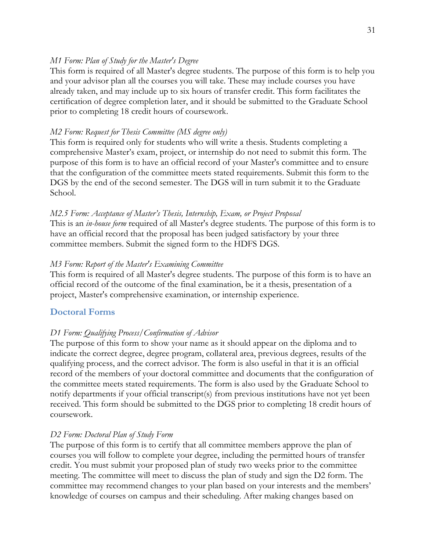#### *M1 Form: Plan of Study for the Master's Degree*

This form is required of all Master's degree students. The purpose of this form is to help you and your advisor plan all the courses you will take. These may include courses you have already taken, and may include up to six hours of transfer credit. This form facilitates the certification of degree completion later, and it should be submitted to the Graduate School prior to completing 18 credit hours of coursework.

#### *M2 Form: Request for Thesis Committee (MS degree only)*

This form is required only for students who will write a thesis. Students completing a comprehensive Master's exam, project, or internship do not need to submit this form. The purpose of this form is to have an official record of your Master's committee and to ensure that the configuration of the committee meets stated requirements. Submit this form to the DGS by the end of the second semester. The DGS will in turn submit it to the Graduate School.

#### *M2.5 Form: Acceptance of Master's Thesis, Internship, Exam, or Project Proposal*

This is an *in-house form* required of all Master's degree students. The purpose of this form is to have an official record that the proposal has been judged satisfactory by your three committee members. Submit the signed form to the HDFS DGS.

#### *M3 Form: Report of the Master's Examining Committee*

This form is required of all Master's degree students. The purpose of this form is to have an official record of the outcome of the final examination, be it a thesis, presentation of a project, Master's comprehensive examination, or internship experience.

#### <span id="page-30-0"></span>**Doctoral Forms**

#### *D1 Form: Qualifying Process/Confirmation of Advisor*

The purpose of this form to show your name as it should appear on the diploma and to indicate the correct degree, degree program, collateral area, previous degrees, results of the qualifying process, and the correct advisor. The form is also useful in that it is an official record of the members of your doctoral committee and documents that the configuration of the committee meets stated requirements. The form is also used by the Graduate School to notify departments if your official transcript(s) from previous institutions have not yet been received. This form should be submitted to the DGS prior to completing 18 credit hours of coursework.

#### *D2 Form: Doctoral Plan of Study Form*

The purpose of this form is to certify that all committee members approve the plan of courses you will follow to complete your degree, including the permitted hours of transfer credit. You must submit your proposed plan of study two weeks prior to the committee meeting. The committee will meet to discuss the plan of study and sign the D2 form. The committee may recommend changes to your plan based on your interests and the members' knowledge of courses on campus and their scheduling. After making changes based on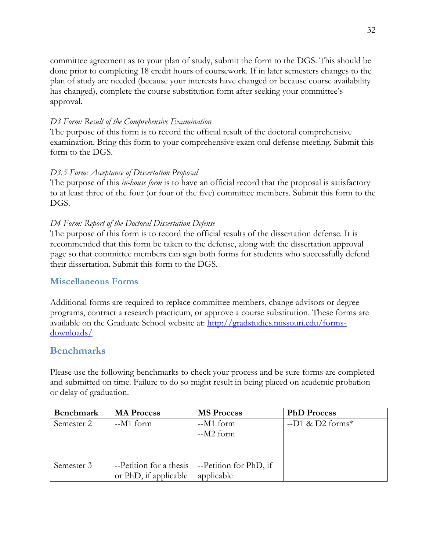committee agreement as to your plan of study, submit the form to the DGS. This should be done prior to completing 18 credit hours of coursework. If in later semesters changes to the plan of study are needed (because your interests have changed or because course availability has changed), complete the course substitution form after seeking your committee's approval.

### *D3 Form: Result of the Comprehensive Examination*

The purpose of this form is to record the official result of the doctoral comprehensive examination. Bring this form to your comprehensive exam oral defense meeting. Submit this form to the DGS.

### *D3.5 Form: Acceptance of Dissertation Proposal*

The purpose of this *in-house form* is to have an official record that the proposal is satisfactory to at least three of the four (or four of the five) committee members. Submit this form to the DGS.

### *D4 Form: Report of the Doctoral Dissertation Defense*

The purpose of this form is to record the official results of the dissertation defense. It is recommended that this form be taken to the defense, along with the dissertation approval page so that committee members can sign both forms for students who successfully defend their dissertation. Submit this form to the DGS.

### <span id="page-31-0"></span>**Miscellaneous Forms**

Additional forms are required to replace committee members, change advisors or degree programs, contract a research practicum, or approve a course substitution. These forms are available on the Graduate School website at: [http://gradstudies.missouri.edu/forms](http://gradstudies.missouri.edu/forms-downloads/)[downloads/](http://gradstudies.missouri.edu/forms-downloads/)

## <span id="page-31-1"></span>**Benchmarks**

Please use the following benchmarks to check your process and be sure forms are completed and submitted on time. Failure to do so might result in being placed on academic probation or delay of graduation.

| <b>Benchmark</b> | <b>MA Process</b>       | <b>MS Process</b>      | <b>PhD Process</b>            |
|------------------|-------------------------|------------------------|-------------------------------|
| Semester 2       | $-M1$ form              | $-M1$ form             | $-D1$ & D2 forms <sup>*</sup> |
|                  |                         | $-M2$ form             |                               |
|                  |                         |                        |                               |
|                  |                         |                        |                               |
| Semester 3       | --Petition for a thesis | --Petition for PhD, if |                               |
|                  | or PhD, if applicable   | applicable             |                               |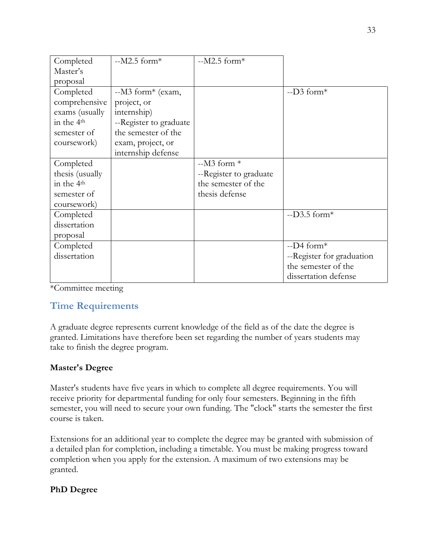| Completed              | $-M2.5$ form*          | $-M2.5$ form*          |                           |
|------------------------|------------------------|------------------------|---------------------------|
| Master's               |                        |                        |                           |
| proposal               |                        |                        |                           |
| Completed              | $-M3$ form* (exam,     |                        | $-D3$ form*               |
| comprehensive          | project, or            |                        |                           |
| exams (usually         | internship)            |                        |                           |
| in the 4 <sup>th</sup> | --Register to graduate |                        |                           |
| semester of            | the semester of the    |                        |                           |
| coursework)            | exam, project, or      |                        |                           |
|                        | internship defense     |                        |                           |
| Completed              |                        | $-M3$ form $*$         |                           |
| thesis (usually        |                        | --Register to graduate |                           |
| in the 4 <sup>th</sup> |                        | the semester of the    |                           |
| semester of            |                        | thesis defense         |                           |
| coursework)            |                        |                        |                           |
| Completed              |                        |                        | $-D3.5$ form*             |
| dissertation           |                        |                        |                           |
| proposal               |                        |                        |                           |
| Completed              |                        |                        | $-D4$ form*               |
| dissertation           |                        |                        | --Register for graduation |
|                        |                        |                        | the semester of the       |
|                        |                        |                        | dissertation defense      |

\*Committee meeting

## <span id="page-32-0"></span>**Time Requirements**

A graduate degree represents current knowledge of the field as of the date the degree is granted. Limitations have therefore been set regarding the number of years students may take to finish the degree program.

### **Master's Degree**

Master's students have five years in which to complete all degree requirements. You will receive priority for departmental funding for only four semesters. Beginning in the fifth semester, you will need to secure your own funding. The "clock" starts the semester the first course is taken.

Extensions for an additional year to complete the degree may be granted with submission of a detailed plan for completion, including a timetable. You must be making progress toward completion when you apply for the extension. A maximum of two extensions may be granted.

## **PhD Degree**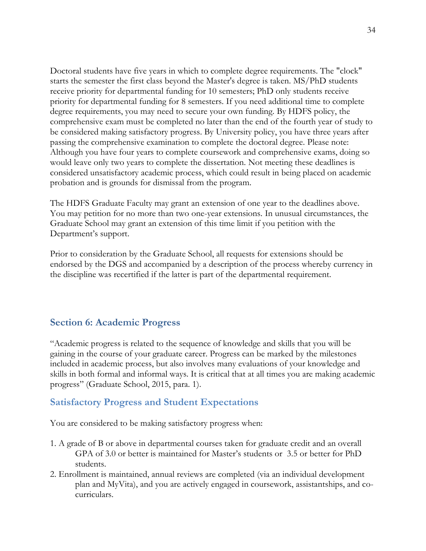Doctoral students have five years in which to complete degree requirements. The "clock" starts the semester the first class beyond the Master's degree is taken. MS/PhD students receive priority for departmental funding for 10 semesters; PhD only students receive priority for departmental funding for 8 semesters. If you need additional time to complete degree requirements, you may need to secure your own funding. By HDFS policy, the comprehensive exam must be completed no later than the end of the fourth year of study to be considered making satisfactory progress. By University policy, you have three years after passing the comprehensive examination to complete the doctoral degree. Please note: Although you have four years to complete coursework and comprehensive exams, doing so would leave only two years to complete the dissertation. Not meeting these deadlines is considered unsatisfactory academic process, which could result in being placed on academic probation and is grounds for dismissal from the program.

The HDFS Graduate Faculty may grant an extension of one year to the deadlines above. You may petition for no more than two one-year extensions. In unusual circumstances, the Graduate School may grant an extension of this time limit if you petition with the Department's support.

Prior to consideration by the Graduate School, all requests for extensions should be endorsed by the DGS and accompanied by a description of the process whereby currency in the discipline was recertified if the latter is part of the departmental requirement.

## <span id="page-33-0"></span>**Section 6: Academic Progress**

"Academic progress is related to the sequence of knowledge and skills that you will be gaining in the course of your graduate career. Progress can be marked by the milestones included in academic process, but also involves many evaluations of your knowledge and skills in both formal and informal ways. It is critical that at all times you are making academic progress" (Graduate School, 2015, para. 1).

### <span id="page-33-1"></span>**Satisfactory Progress and Student Expectations**

You are considered to be making satisfactory progress when:

- 1. A grade of B or above in departmental courses taken for graduate credit and an overall GPA of 3.0 or better is maintained for Master's students or 3.5 or better for PhD students.
- 2. Enrollment is maintained, annual reviews are completed (via an individual development plan and MyVita), and you are actively engaged in coursework, assistantships, and cocurriculars.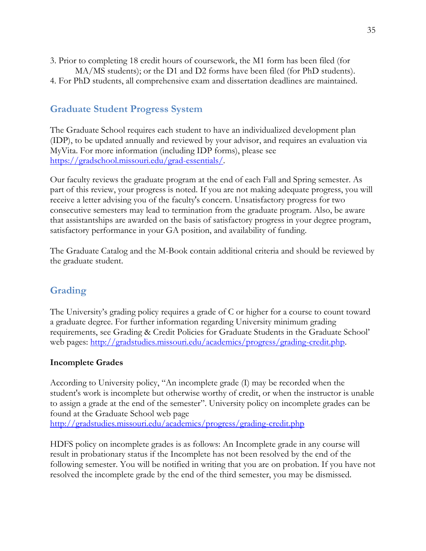- 3. Prior to completing 18 credit hours of coursework, the M1 form has been filed (for MA/MS students); or the D1 and D2 forms have been filed (for PhD students).
- 4. For PhD students, all comprehensive exam and dissertation deadlines are maintained.

## <span id="page-34-0"></span>**Graduate Student Progress System**

The Graduate School requires each student to have an individualized development plan (IDP), to be updated annually and reviewed by your advisor, and requires an evaluation via MyVita. For more information (including IDP forms), please see [https://gradschool.missouri.edu/grad-essentials/.](https://gradschool.missouri.edu/grad-essentials/)

Our faculty reviews the graduate program at the end of each Fall and Spring semester. As part of this review, your progress is noted. If you are not making adequate progress, you will receive a letter advising you of the faculty's concern. Unsatisfactory progress for two consecutive semesters may lead to termination from the graduate program. Also, be aware that assistantships are awarded on the basis of satisfactory progress in your degree program, satisfactory performance in your GA position, and availability of funding.

The Graduate Catalog and the M-Book contain additional criteria and should be reviewed by the graduate student.

## <span id="page-34-1"></span>**Grading**

The University's grading policy requires a grade of C or higher for a course to count toward a graduate degree. For further information regarding University minimum grading requirements, see Grading & Credit Policies for Graduate Students in the Graduate School' web pages: [http://gradstudies.missouri.edu/academics/progress/grading-credit.php.](http://gradstudies.missouri.edu/academics/progress/grading-credit.php)

### **Incomplete Grades**

According to University policy, "An incomplete grade (I) may be recorded when the student's work is incomplete but otherwise worthy of credit, or when the instructor is unable to assign a grade at the end of the semester". University policy on incomplete grades can be found at the Graduate School web page <http://gradstudies.missouri.edu/academics/progress/grading-credit.php>

HDFS policy on incomplete grades is as follows: An Incomplete grade in any course will result in probationary status if the Incomplete has not been resolved by the end of the following semester. You will be notified in writing that you are on probation. If you have not resolved the incomplete grade by the end of the third semester, you may be dismissed.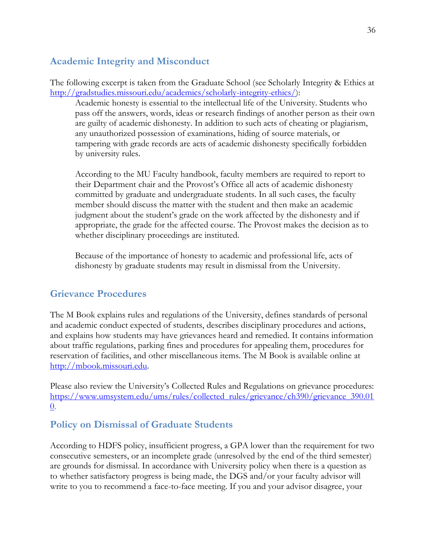## <span id="page-35-0"></span>**Academic Integrity and Misconduct**

The following excerpt is taken from the Graduate School (see Scholarly Integrity & Ethics at [http://gradstudies.missouri.edu/academics/scholarly-integrity-ethics/\)](http://gradstudies.missouri.edu/academics/scholarly-integrity-ethics/):

Academic honesty is essential to the intellectual life of the University. Students who pass off the answers, words, ideas or research findings of another person as their own are guilty of academic dishonesty. In addition to such acts of cheating or plagiarism, any unauthorized possession of examinations, hiding of source materials, or tampering with grade records are acts of academic dishonesty specifically forbidden by university rules.

According to the MU Faculty handbook, faculty members are required to report to their Department chair and the Provost's Office all acts of academic dishonesty committed by graduate and undergraduate students. In all such cases, the faculty member should discuss the matter with the student and then make an academic judgment about the student's grade on the work affected by the dishonesty and if appropriate, the grade for the affected course. The Provost makes the decision as to whether disciplinary proceedings are instituted.

Because of the importance of honesty to academic and professional life, acts of dishonesty by graduate students may result in dismissal from the University.

## <span id="page-35-1"></span>**Grievance Procedures**

The M Book explains rules and regulations of the University, defines standards of personal and academic conduct expected of students, describes disciplinary procedures and actions, and explains how students may have grievances heard and remedied. It contains information about traffic regulations, parking fines and procedures for appealing them, procedures for reservation of facilities, and other miscellaneous items. The M Book is available online at [http://mbook.missouri.edu.](http://mbook.missouri.edu/)

Please also review the University's Collected Rules and Regulations on grievance procedures: [https://www.umsystem.edu/ums/rules/collected\\_rules/grievance/ch390/grievance\\_390.01](https://www.umsystem.edu/ums/rules/collected_rules/grievance/ch390/grievance_390.010) [0.](https://www.umsystem.edu/ums/rules/collected_rules/grievance/ch390/grievance_390.010)

## <span id="page-35-2"></span>**Policy on Dismissal of Graduate Students**

According to HDFS policy, insufficient progress, a GPA lower than the requirement for two consecutive semesters, or an incomplete grade (unresolved by the end of the third semester) are grounds for dismissal. In accordance with University policy when there is a question as to whether satisfactory progress is being made, the DGS and/or your faculty advisor will write to you to recommend a face-to-face meeting. If you and your advisor disagree, your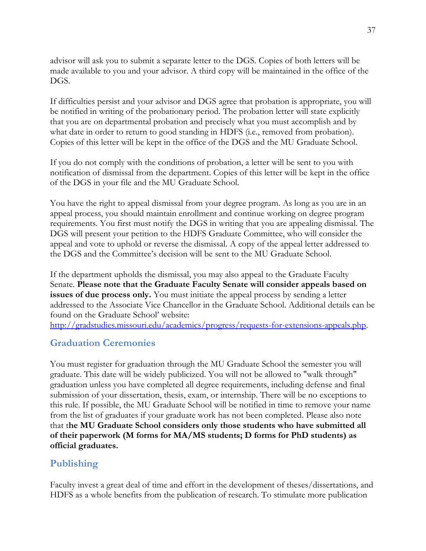advisor will ask you to submit a separate letter to the DGS. Copies of both letters will be made available to you and your advisor. A third copy will be maintained in the office of the DGS.

If difficulties persist and your advisor and DGS agree that probation is appropriate, you will be notified in writing of the probationary period. The probation letter will state explicitly that you are on departmental probation and precisely what you must accomplish and by what date in order to return to good standing in HDFS (i.e., removed from probation). Copies of this letter will be kept in the office of the DGS and the MU Graduate School.

If you do not comply with the conditions of probation, a letter will be sent to you with notification of dismissal from the department. Copies of this letter will be kept in the office of the DGS in your file and the MU Graduate School.

You have the right to appeal dismissal from your degree program. As long as you are in an appeal process, you should maintain enrollment and continue working on degree program requirements. You first must notify the DGS in writing that you are appealing dismissal. The DGS will present your petition to the HDFS Graduate Committee, who will consider the appeal and vote to uphold or reverse the dismissal. A copy of the appeal letter addressed to the DGS and the Committee's decision will be sent to the MU Graduate School.

If the department upholds the dismissal, you may also appeal to the Graduate Faculty Senate. **Please note that the Graduate Faculty Senate will consider appeals based on issues of due process only.** You must initiate the appeal process by sending a letter addressed to the Associate Vice Chancellor in the Graduate School. Additional details can be found on the Graduate School' website:

[http://gradstudies.missouri.edu/academics/progress/requests-for-extensions-appeals.php.](http://gradstudies.missouri.edu/academics/progress/requests-for-extensions-appeals.php)

## <span id="page-36-0"></span>**Graduation Ceremonies**

You must register for graduation through the MU Graduate School the semester you will graduate. This date will be widely publicized. You will not be allowed to "walk through" graduation unless you have completed all degree requirements, including defense and final submission of your dissertation, thesis, exam, or internship. There will be no exceptions to this rule. If possible, the MU Graduate School will be notified in time to remove your name from the list of graduates if your graduate work has not been completed. Please also note that t**he MU Graduate School considers only those students who have submitted all of their paperwork (M forms for MA/MS students; D forms for PhD students) as official graduates.** 

## <span id="page-36-1"></span>**Publishing**

Faculty invest a great deal of time and effort in the development of theses/dissertations, and HDFS as a whole benefits from the publication of research. To stimulate more publication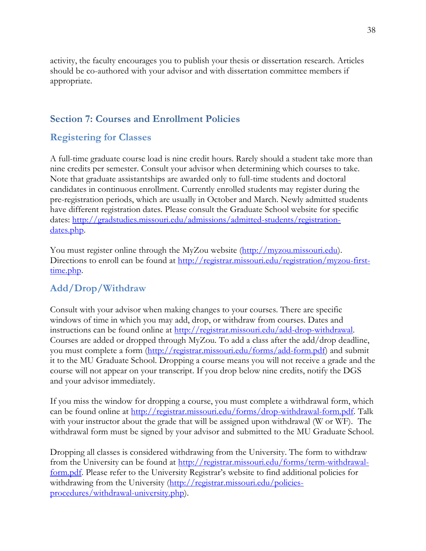activity, the faculty encourages you to publish your thesis or dissertation research. Articles should be co-authored with your advisor and with dissertation committee members if appropriate.

## <span id="page-37-0"></span>**Section 7: Courses and Enrollment Policies**

## <span id="page-37-1"></span>**Registering for Classes**

A full-time graduate course load is nine credit hours. Rarely should a student take more than nine credits per semester. Consult your advisor when determining which courses to take. Note that graduate assistantships are awarded only to full-time students and doctoral candidates in continuous enrollment. Currently enrolled students may register during the pre-registration periods, which are usually in October and March. Newly admitted students have different registration dates. Please consult the Graduate School website for specific dates: [http://gradstudies.missouri.edu/admissions/admitted-students/registration](http://gradstudies.missouri.edu/admissions/admitted-students/registration-dates.php)[dates.php.](http://gradstudies.missouri.edu/admissions/admitted-students/registration-dates.php)

You must register online through the MyZou website [\(http://myzou.missouri.edu\)](http://myzou.missouri.edu/). Directions to enroll can be found at [http://registrar.missouri.edu/registration/myzou-first](http://registrar.missouri.edu/registration/myzou-first-time.php)[time.php.](http://registrar.missouri.edu/registration/myzou-first-time.php)

## <span id="page-37-2"></span>**Add/Drop/Withdraw**

Consult with your advisor when making changes to your courses. There are specific windows of time in which you may add, drop, or withdraw from courses. Dates and instructions can be found online at [http://registrar.missouri.edu/add-drop-withdrawal.](http://registrar.missouri.edu/add-drop-withdrawal) Courses are added or dropped through MyZou. To add a class after the add/drop deadline, you must complete a form [\(http://registrar.missouri.edu/forms/add-form.pdf\)](http://registrar.missouri.edu/forms/add-form.pdf) and submit it to the MU Graduate School. Dropping a course means you will not receive a grade and the course will not appear on your transcript. If you drop below nine credits, notify the DGS and your advisor immediately.

If you miss the window for dropping a course, you must complete a withdrawal form, which can be found online at [http://registrar.missouri.edu/forms/drop-withdrawal-form.pdf.](http://registrar.missouri.edu/forms/drop-withdrawal-form.pdf) Talk with your instructor about the grade that will be assigned upon withdrawal (W or WF). The withdrawal form must be signed by your advisor and submitted to the MU Graduate School.

Dropping all classes is considered withdrawing from the University. The form to withdraw from the University can be found at [http://registrar.missouri.edu/forms/term-withdrawal](http://registrar.missouri.edu/forms/term-withdrawal-form.pdf)[form.pdf](http://registrar.missouri.edu/forms/term-withdrawal-form.pdf). Please refer to the University Registrar's website to find additional policies for withdrawing from the University [\(http://registrar.missouri.edu/policies](http://registrar.missouri.edu/policies-procedures/withdrawal-university.php)[procedures/withdrawal-university.php\)](http://registrar.missouri.edu/policies-procedures/withdrawal-university.php).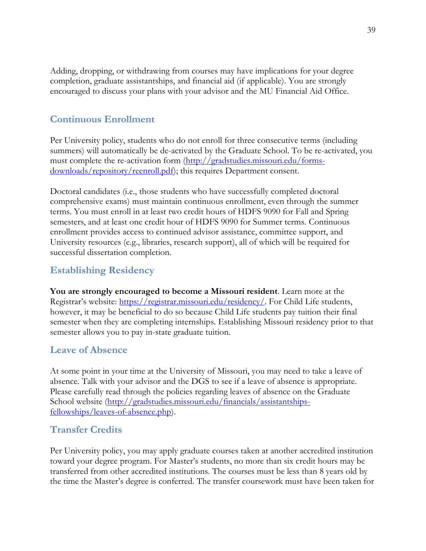Adding, dropping, or withdrawing from courses may have implications for your degree completion, graduate assistantships, and financial aid (if applicable). You are strongly encouraged to discuss your plans with your advisor and the MU Financial Aid Office.

## <span id="page-38-0"></span>**Continuous Enrollment**

Per University policy, students who do not enroll for three consecutive terms (including summers) will automatically be de-activated by the Graduate School. To be re-activated, you must complete the re-activation form [\(http://gradstudies.missouri.edu/forms](http://gradstudies.missouri.edu/forms-downloads/repository/reenroll.pdf)[downloads/repository/reenroll.pdf\)](http://gradstudies.missouri.edu/forms-downloads/repository/reenroll.pdf); this requires Department consent.

Doctoral candidates (i.e., those students who have successfully completed doctoral comprehensive exams) must maintain continuous enrollment, even through the summer terms. You must enroll in at least two credit hours of HDFS 9090 for Fall and Spring semesters, and at least one credit hour of HDFS 9090 for Summer terms. Continuous enrollment provides access to continued advisor assistance, committee support, and University resources (e.g., libraries, research support), all of which will be required for successful dissertation completion.

## <span id="page-38-1"></span>**Establishing Residency**

**You are strongly encouraged to become a Missouri resident**. Learn more at the Registrar's website: [https://registrar.missouri.edu/residency/.](https://registrar.missouri.edu/residency/) For Child Life students, however, it may be beneficial to do so because Child Life students pay tuition their final semester when they are completing internships. Establishing Missouri residency prior to that semester allows you to pay in-state graduate tuition.

## <span id="page-38-2"></span>**Leave of Absence**

At some point in your time at the University of Missouri, you may need to take a leave of absence. Talk with your advisor and the DGS to see if a leave of absence is appropriate. Please carefully read through the policies regarding leaves of absence on the Graduate School website [\(http://gradstudies.missouri.edu/financials/assistantships](http://gradstudies.missouri.edu/financials/assistantships-fellowships/leaves-of-absence.php)[fellowships/leaves-of-absence.php\)](http://gradstudies.missouri.edu/financials/assistantships-fellowships/leaves-of-absence.php).

## <span id="page-38-3"></span>**Transfer Credits**

Per University policy, you may apply graduate courses taken at another accredited institution toward your degree program. For Master's students, no more than six credit hours may be transferred from other accredited institutions. The courses must be less than 8 years old by the time the Master's degree is conferred. The transfer coursework must have been taken for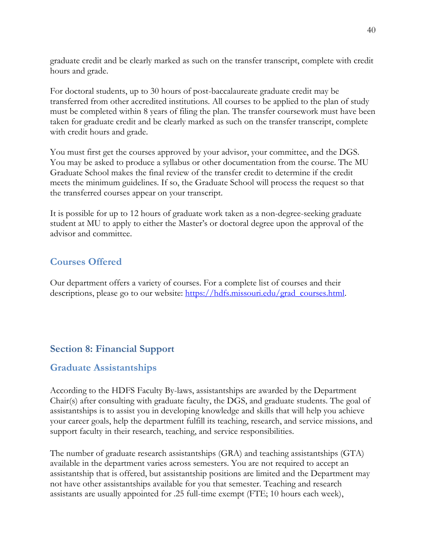graduate credit and be clearly marked as such on the transfer transcript, complete with credit hours and grade.

For doctoral students, up to 30 hours of post-baccalaureate graduate credit may be transferred from other accredited institutions. All courses to be applied to the plan of study must be completed within 8 years of filing the plan. The transfer coursework must have been taken for graduate credit and be clearly marked as such on the transfer transcript, complete with credit hours and grade.

You must first get the courses approved by your advisor, your committee, and the DGS. You may be asked to produce a syllabus or other documentation from the course. The MU Graduate School makes the final review of the transfer credit to determine if the credit meets the minimum guidelines. If so, the Graduate School will process the request so that the transferred courses appear on your transcript.

It is possible for up to 12 hours of graduate work taken as a non-degree-seeking graduate student at MU to apply to either the Master's or doctoral degree upon the approval of the advisor and committee.

## <span id="page-39-0"></span>**Courses Offered**

Our department offers a variety of courses. For a complete list of courses and their descriptions, please go to our website: [https://hdfs.missouri.edu/grad\\_courses.html.](https://hdfs.missouri.edu/grad_courses.html)

## <span id="page-39-1"></span>**Section 8: Financial Support**

## <span id="page-39-2"></span>**Graduate Assistantships**

According to the HDFS Faculty By-laws, assistantships are awarded by the Department Chair(s) after consulting with graduate faculty, the DGS, and graduate students. The goal of assistantships is to assist you in developing knowledge and skills that will help you achieve your career goals, help the department fulfill its teaching, research, and service missions, and support faculty in their research, teaching, and service responsibilities.

The number of graduate research assistantships (GRA) and teaching assistantships (GTA) available in the department varies across semesters. You are not required to accept an assistantship that is offered, but assistantship positions are limited and the Department may not have other assistantships available for you that semester. Teaching and research assistants are usually appointed for .25 full-time exempt (FTE; 10 hours each week),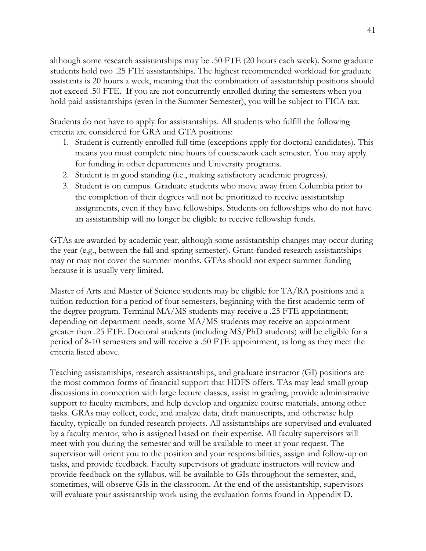although some research assistantships may be .50 FTE (20 hours each week). Some graduate students hold two .25 FTE assistantships. The highest recommended workload for graduate assistants is 20 hours a week, meaning that the combination of assistantship positions should not exceed .50 FTE. If you are not concurrently enrolled during the semesters when you hold paid assistantships (even in the Summer Semester), you will be subject to FICA tax.

Students do not have to apply for assistantships. All students who fulfill the following criteria are considered for GRA and GTA positions:

- 1. Student is currently enrolled full time (exceptions apply for doctoral candidates). This means you must complete nine hours of coursework each semester. You may apply for funding in other departments and University programs.
- 2. Student is in good standing (i.e., making satisfactory academic progress).
- 3. Student is on campus. Graduate students who move away from Columbia prior to the completion of their degrees will not be prioritized to receive assistantship assignments, even if they have fellowships. Students on fellowships who do not have an assistantship will no longer be eligible to receive fellowship funds.

GTAs are awarded by academic year, although some assistantship changes may occur during the year (e.g., between the fall and spring semester). Grant-funded research assistantships may or may not cover the summer months. GTAs should not expect summer funding because it is usually very limited.

Master of Arts and Master of Science students may be eligible for TA/RA positions and a tuition reduction for a period of four semesters, beginning with the first academic term of the degree program. Terminal MA/MS students may receive a .25 FTE appointment; depending on department needs, some MA/MS students may receive an appointment greater than .25 FTE. Doctoral students (including MS/PhD students) will be eligible for a period of 8-10 semesters and will receive a .50 FTE appointment, as long as they meet the criteria listed above.

Teaching assistantships, research assistantships, and graduate instructor (GI) positions are the most common forms of financial support that HDFS offers. TAs may lead small group discussions in connection with large lecture classes, assist in grading, provide administrative support to faculty members, and help develop and organize course materials, among other tasks. GRAs may collect, code, and analyze data, draft manuscripts, and otherwise help faculty, typically on funded research projects. All assistantships are supervised and evaluated by a faculty mentor, who is assigned based on their expertise. All faculty supervisors will meet with you during the semester and will be available to meet at your request. The supervisor will orient you to the position and your responsibilities, assign and follow-up on tasks, and provide feedback. Faculty supervisors of graduate instructors will review and provide feedback on the syllabus, will be available to GIs throughout the semester, and, sometimes, will observe GIs in the classroom. At the end of the assistantship, supervisors will evaluate your assistantship work using the evaluation forms found in Appendix D.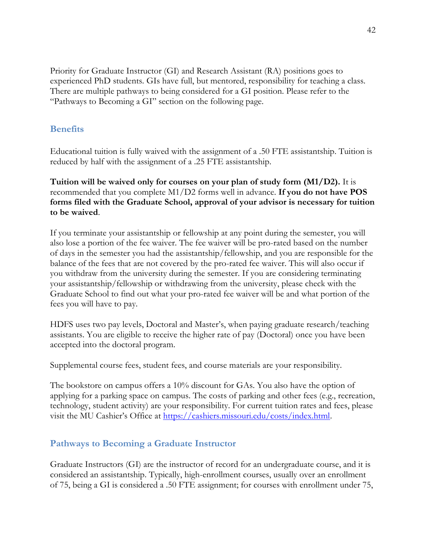Priority for Graduate Instructor (GI) and Research Assistant (RA) positions goes to experienced PhD students. GIs have full, but mentored, responsibility for teaching a class. There are multiple pathways to being considered for a GI position. Please refer to the "Pathways to Becoming a GI" section on the following page.

### <span id="page-41-0"></span>**Benefits**

Educational tuition is fully waived with the assignment of a .50 FTE assistantship. Tuition is reduced by half with the assignment of a .25 FTE assistantship.

**Tuition will be waived only for courses on your plan of study form (M1/D2).** It is recommended that you complete M1/D2 forms well in advance. **If you do not have POS forms filed with the Graduate School, approval of your advisor is necessary for tuition to be waived**.

If you terminate your assistantship or fellowship at any point during the semester, you will also lose a portion of the fee waiver. The fee waiver will be pro-rated based on the number of days in the semester you had the assistantship/fellowship, and you are responsible for the balance of the fees that are not covered by the pro-rated fee waiver. This will also occur if you withdraw from the university during the semester. If you are considering terminating your assistantship/fellowship or withdrawing from the university, please check with the Graduate School to find out what your pro-rated fee waiver will be and what portion of the fees you will have to pay.

HDFS uses two pay levels, Doctoral and Master's, when paying graduate research/teaching assistants. You are eligible to receive the higher rate of pay (Doctoral) once you have been accepted into the doctoral program.

Supplemental course fees, student fees, and course materials are your responsibility.

The bookstore on campus offers a 10% discount for GAs. You also have the option of applying for a parking space on campus. The costs of parking and other fees (e.g., recreation, technology, student activity) are your responsibility. For current tuition rates and fees, please visit the MU Cashier's Office at [https://cashiers.missouri.edu/costs/index.html.](https://cashiers.missouri.edu/costs/index.html)

## <span id="page-41-1"></span>**Pathways to Becoming a Graduate Instructor**

Graduate Instructors (GI) are the instructor of record for an undergraduate course, and it is considered an assistantship. Typically, high-enrollment courses, usually over an enrollment of 75, being a GI is considered a .50 FTE assignment; for courses with enrollment under 75,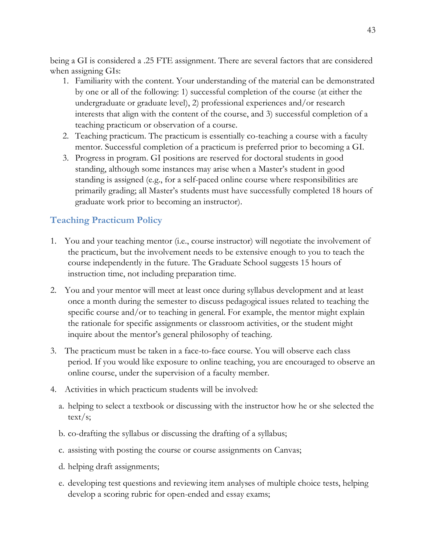being a GI is considered a .25 FTE assignment. There are several factors that are considered when assigning GIs:

- 1. Familiarity with the content. Your understanding of the material can be demonstrated by one or all of the following: 1) successful completion of the course (at either the undergraduate or graduate level), 2) professional experiences and/or research interests that align with the content of the course, and 3) successful completion of a teaching practicum or observation of a course.
- 2. Teaching practicum. The practicum is essentially co-teaching a course with a faculty mentor. Successful completion of a practicum is preferred prior to becoming a GI.
- 3. Progress in program. GI positions are reserved for doctoral students in good standing, although some instances may arise when a Master's student in good standing is assigned (e.g., for a self-paced online course where responsibilities are primarily grading; all Master's students must have successfully completed 18 hours of graduate work prior to becoming an instructor).

## <span id="page-42-0"></span>**Teaching Practicum Policy**

- 1. You and your teaching mentor (i.e., course instructor) will negotiate the involvement of the practicum, but the involvement needs to be extensive enough to you to teach the course independently in the future. The Graduate School suggests 15 hours of instruction time, not including preparation time.
- 2. You and your mentor will meet at least once during syllabus development and at least once a month during the semester to discuss pedagogical issues related to teaching the specific course and/or to teaching in general. For example, the mentor might explain the rationale for specific assignments or classroom activities, or the student might inquire about the mentor's general philosophy of teaching.
- 3. The practicum must be taken in a face-to-face course. You will observe each class period. If you would like exposure to online teaching, you are encouraged to observe an online course, under the supervision of a faculty member.
- 4. Activities in which practicum students will be involved:
	- a. helping to select a textbook or discussing with the instructor how he or she selected the text/s;
	- b. co-drafting the syllabus or discussing the drafting of a syllabus;
	- c. assisting with posting the course or course assignments on Canvas;
	- d. helping draft assignments;
	- e. developing test questions and reviewing item analyses of multiple choice tests, helping develop a scoring rubric for open-ended and essay exams;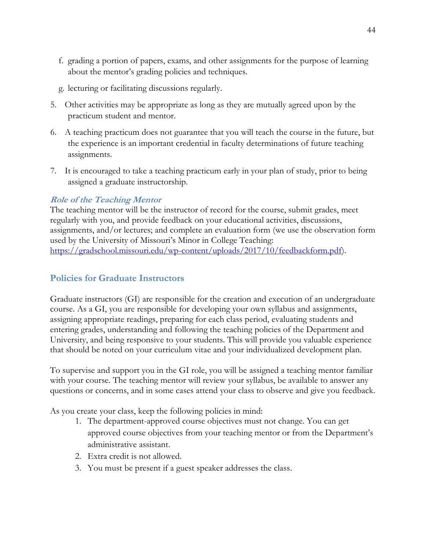- f. grading a portion of papers, exams, and other assignments for the purpose of learning about the mentor's grading policies and techniques.
- g. lecturing or facilitating discussions regularly.
- 5. Other activities may be appropriate as long as they are mutually agreed upon by the practicum student and mentor.
- 6. A teaching practicum does not guarantee that you will teach the course in the future, but the experience is an important credential in faculty determinations of future teaching assignments.
- 7. It is encouraged to take a teaching practicum early in your plan of study, prior to being assigned a graduate instructorship.

### **Role of the Teaching Mentor**

The teaching mentor will be the instructor of record for the course, submit grades, meet regularly with you, and provide feedback on your educational activities, discussions, assignments, and/or lectures; and complete an evaluation form (we use the observation form used by the University of Missouri's Minor in College Teaching: [https://gradschool.missouri.edu/wp-content/uploads/2017/10/feedbackform.pdf\)](https://gradschool.missouri.edu/wp-content/uploads/2017/10/feedbackform.pdf).

### <span id="page-43-0"></span>**Policies for Graduate Instructors**

Graduate instructors (GI) are responsible for the creation and execution of an undergraduate course. As a GI, you are responsible for developing your own syllabus and assignments, assigning appropriate readings, preparing for each class period, evaluating students and entering grades, understanding and following the teaching policies of the Department and University, and being responsive to your students. This will provide you valuable experience that should be noted on your curriculum vitae and your individualized development plan.

To supervise and support you in the GI role, you will be assigned a teaching mentor familiar with your course. The teaching mentor will review your syllabus, be available to answer any questions or concerns, and in some cases attend your class to observe and give you feedback.

As you create your class, keep the following policies in mind:

- 1. The department-approved course objectives must not change. You can get approved course objectives from your teaching mentor or from the Department's administrative assistant.
- 2. Extra credit is not allowed.
- 3. You must be present if a guest speaker addresses the class.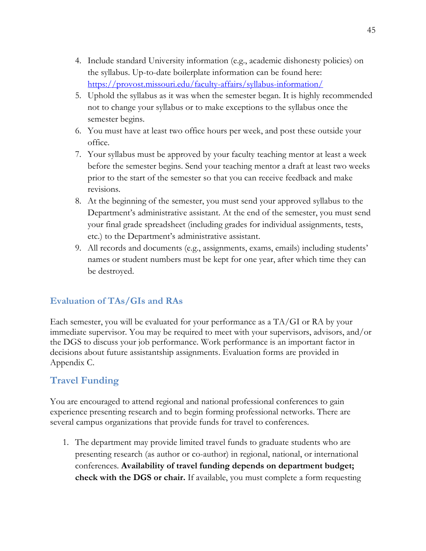- 4. Include standard University information (e.g., academic dishonesty policies) on the syllabus. Up-to-date boilerplate information can be found here: <https://provost.missouri.edu/faculty-affairs/syllabus-information/>
- 5. Uphold the syllabus as it was when the semester began. It is highly recommended not to change your syllabus or to make exceptions to the syllabus once the semester begins.
- 6. You must have at least two office hours per week, and post these outside your office.
- 7. Your syllabus must be approved by your faculty teaching mentor at least a week before the semester begins. Send your teaching mentor a draft at least two weeks prior to the start of the semester so that you can receive feedback and make revisions.
- 8. At the beginning of the semester, you must send your approved syllabus to the Department's administrative assistant. At the end of the semester, you must send your final grade spreadsheet (including grades for individual assignments, tests, etc.) to the Department's administrative assistant.
- 9. All records and documents (e.g., assignments, exams, emails) including students' names or student numbers must be kept for one year, after which time they can be destroyed.

## <span id="page-44-0"></span>**Evaluation of TAs/GIs and RAs**

Each semester, you will be evaluated for your performance as a TA/GI or RA by your immediate supervisor. You may be required to meet with your supervisors, advisors, and/or the DGS to discuss your job performance. Work performance is an important factor in decisions about future assistantship assignments. Evaluation forms are provided in Appendix C.

## <span id="page-44-1"></span>**Travel Funding**

You are encouraged to attend regional and national professional conferences to gain experience presenting research and to begin forming professional networks. There are several campus organizations that provide funds for travel to conferences.

1. The department may provide limited travel funds to graduate students who are presenting research (as author or co-author) in regional, national, or international conferences. **Availability of travel funding depends on department budget; check with the DGS or chair.** If available, you must complete a form requesting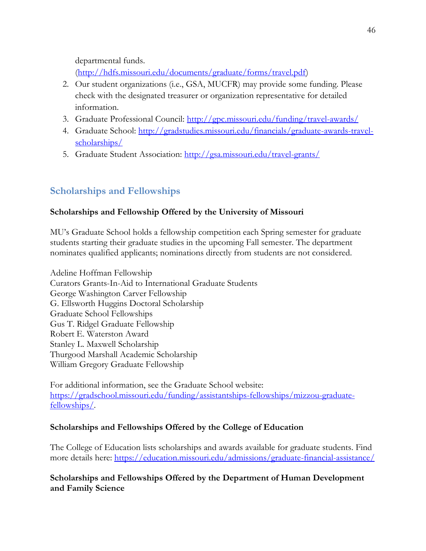departmental funds.

[\(http://hdfs.missouri.edu/documents/graduate/forms/travel.pdf\)](http://hdfs.missouri.edu/documents/graduate/forms/travel.pdf)

- 2. Our student organizations (i.e., GSA, MUCFR) may provide some funding. Please check with the designated treasurer or organization representative for detailed information.
- 3. Graduate Professional Council:<http://gpc.missouri.edu/funding/travel-awards/>
- 4. Graduate School: [http://gradstudies.missouri.edu/financials/graduate-awards-travel](http://gradstudies.missouri.edu/financials/graduate-awards-travel-scholarships/)[scholarships/](http://gradstudies.missouri.edu/financials/graduate-awards-travel-scholarships/)
- 5. Graduate Student Association:<http://gsa.missouri.edu/travel-grants/>

# <span id="page-45-0"></span>**Scholarships and Fellowships**

## **Scholarships and Fellowship Offered by the University of Missouri**

MU's Graduate School holds a fellowship competition each Spring semester for graduate students starting their graduate studies in the upcoming Fall semester. The department nominates qualified applicants; nominations directly from students are not considered.

Adeline Hoffman Fellowship Curators Grants-In-Aid to International Graduate Students George Washington Carver Fellowship G. Ellsworth Huggins Doctoral Scholarship Graduate School Fellowships Gus T. Ridgel Graduate Fellowship Robert E. Waterston Award Stanley L. Maxwell Scholarship Thurgood Marshall Academic Scholarship William Gregory Graduate Fellowship

For additional information, see the Graduate School website: [https://gradschool.missouri.edu/funding/assistantships-fellowships/mizzou-graduate](https://gradschool.missouri.edu/funding/assistantships-fellowships/mizzou-graduate-fellowships/)[fellowships/.](https://gradschool.missouri.edu/funding/assistantships-fellowships/mizzou-graduate-fellowships/)

## **Scholarships and Fellowships Offered by the College of Education**

The College of Education lists scholarships and awards available for graduate students. Find more details here:<https://education.missouri.edu/admissions/graduate-financial-assistance/>

**Scholarships and Fellowships Offered by the Department of Human Development and Family Science**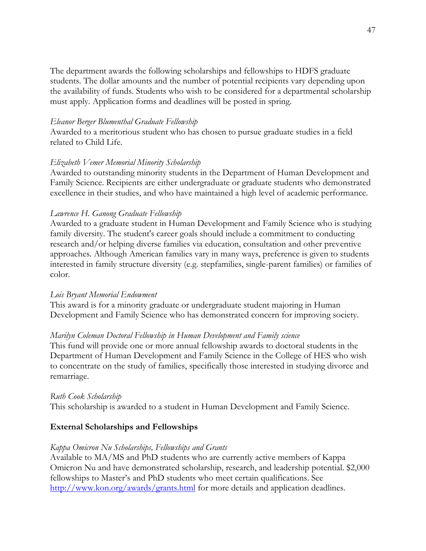The department awards the following scholarships and fellowships to HDFS graduate students. The dollar amounts and the number of potential recipients vary depending upon the availability of funds. Students who wish to be considered for a departmental scholarship must apply. Application forms and deadlines will be posted in spring.

#### *Eleanor Berger Blumenthal Graduate Fellowship*

Awarded to a meritorious student who has chosen to pursue graduate studies in a field related to Child Life.

#### *Elizabeth Vemer Memorial Minority Scholarship*

Awarded to outstanding minority students in the Department of Human Development and Family Science. Recipients are either undergraduate or graduate students who demonstrated excellence in their studies, and who have maintained a high level of academic performance.

### *Lawrence H. Ganong Graduate Fellowship*

Awarded to a graduate student in Human Development and Family Science who is studying family diversity. The student's career goals should include a commitment to conducting research and/or helping diverse families via education, consultation and other preventive approaches. Although American families vary in many ways, preference is given to students interested in family structure diversity (e.g. stepfamilies, single-parent families) or families of color.

#### *Lois Bryant Memorial Endowment*

This award is for a minority graduate or undergraduate student majoring in Human Development and Family Science who has demonstrated concern for improving society.

### *Marilyn Coleman Doctoral Fellowship in Human Development and Family science*

This fund will provide one or more annual fellowship awards to doctoral students in the Department of Human Development and Family Science in the College of HES who wish to concentrate on the study of families, specifically those interested in studying divorce and remarriage.

### *Ruth Cook Scholarship*

This scholarship is awarded to a student in Human Development and Family Science.

### **External Scholarships and Fellowships**

### *Kappa Omicron Nu Scholarships, Fellowships and Grants*

Available to MA/MS and PhD students who are currently active members of Kappa Omicron Nu and have demonstrated scholarship, research, and leadership potential. \$2,000 fellowships to Master's and PhD students who meet certain qualifications. See <http://www.kon.org/awards/grants.html> for more details and application deadlines.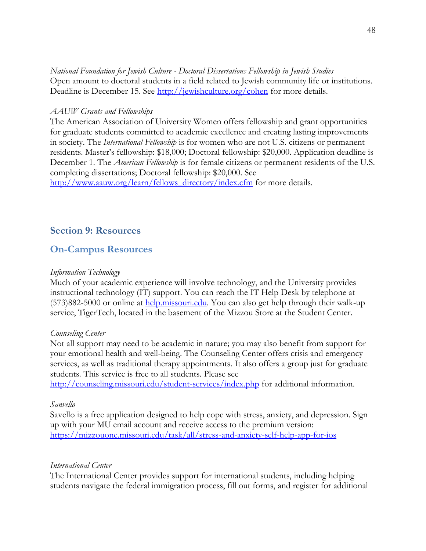#### *National Foundation for Jewish Culture - Doctoral Dissertations Fellowship in Jewish Studies* Open amount to doctoral students in a field related to Jewish community life or institutions. Deadline is December 15. See<http://jewishculture.org/cohen> for more details.

### *AAUW Grants and Fellowships*

The American Association of University Women offers fellowship and grant opportunities for graduate students committed to academic excellence and creating lasting improvements in society. The *International Fellowship* is for women who are not U.S. citizens or permanent residents. Master's fellowship: \$18,000; Doctoral fellowship: \$20,000. Application deadline is December 1. The *American Fellowship* is for female citizens or permanent residents of the U.S. completing dissertations; Doctoral fellowship: \$20,000. See [http://www.aauw.org/learn/fellows\\_directory/index.cfm](http://www.aauw.org/learn/fellows_directory/index.cfm) for more details.

## <span id="page-47-0"></span>**Section 9: Resources**

## <span id="page-47-1"></span>**On-Campus Resources**

### *Information Technology*

Much of your academic experience will involve technology, and the University provides instructional technology (IT) support. You can reach the IT Help Desk by telephone at (573)882-5000 or online at [help.missouri.edu.](http://help.missouri.edu/) You can also get help through their walk-up service, TigerTech, located in the basement of the Mizzou Store at the Student Center.

### *Counseling Center*

Not all support may need to be academic in nature; you may also benefit from support for your emotional health and well-being. The Counseling Center offers crisis and emergency services, as well as traditional therapy appointments. It also offers a group just for graduate students. This service is free to all students. Please see

<http://counseling.missouri.edu/student-services/index.php> for additional information.

### *Sanvello*

Savello is a free application designed to help cope with stress, anxiety, and depression. Sign up with your MU email account and receive access to the premium version: <https://mizzouone.missouri.edu/task/all/stress-and-anxiety-self-help-app-for-ios>

### *International Center*

The International Center provides support for international students, including helping students navigate the federal immigration process, fill out forms, and register for additional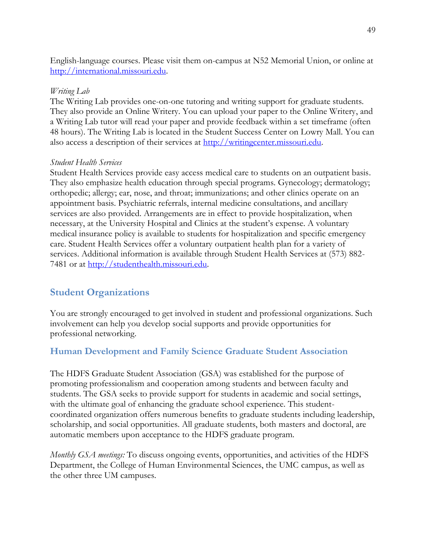English-language courses. Please visit them on-campus at N52 Memorial Union, or online at [http://international.missouri.edu.](http://international.missouri.edu/)

#### *Writing Lab*

The Writing Lab provides one-on-one tutoring and writing support for graduate students. They also provide an Online Writery. You can upload your paper to the Online Writery, and a Writing Lab tutor will read your paper and provide feedback within a set timeframe (often 48 hours). The Writing Lab is located in the Student Success Center on Lowry Mall. You can also access a description of their services at [http://writingcenter.missouri.edu.](http://writingcenter.missouri.edu/)

### *Student Health Services*

Student Health Services provide easy access medical care to students on an outpatient basis. They also emphasize health education through special programs. Gynecology; dermatology; orthopedic; allergy; ear, nose, and throat; immunizations; and other clinics operate on an appointment basis. Psychiatric referrals, internal medicine consultations, and ancillary services are also provided. Arrangements are in effect to provide hospitalization, when necessary, at the University Hospital and Clinics at the student's expense. A voluntary medical insurance policy is available to students for hospitalization and specific emergency care. Student Health Services offer a voluntary outpatient health plan for a variety of services. Additional information is available through Student Health Services at (573) 882- 7481 or at [http://studenthealth.missouri.edu.](http://studenthealth.missouri.edu/)

## <span id="page-48-0"></span>**Student Organizations**

You are strongly encouraged to get involved in student and professional organizations. Such involvement can help you develop social supports and provide opportunities for professional networking.

## <span id="page-48-1"></span>**Human Development and Family Science Graduate Student Association**

The HDFS Graduate Student Association (GSA) was established for the purpose of promoting professionalism and cooperation among students and between faculty and students. The GSA seeks to provide support for students in academic and social settings, with the ultimate goal of enhancing the graduate school experience. This studentcoordinated organization offers numerous benefits to graduate students including leadership, scholarship, and social opportunities. All graduate students, both masters and doctoral, are automatic members upon acceptance to the HDFS graduate program.

*Monthly GSA meetings:* To discuss ongoing events, opportunities, and activities of the HDFS Department, the College of Human Environmental Sciences, the UMC campus, as well as the other three UM campuses.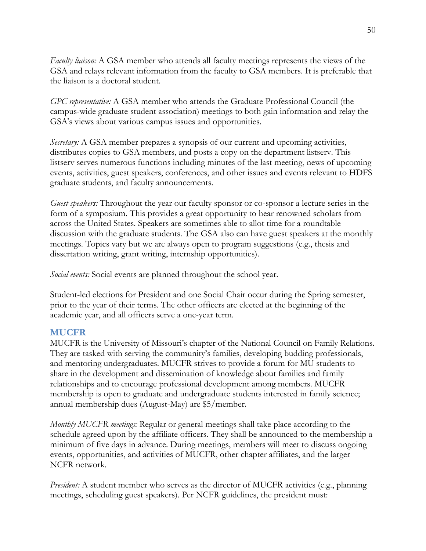*Faculty liaison:* A GSA member who attends all faculty meetings represents the views of the GSA and relays relevant information from the faculty to GSA members. It is preferable that the liaison is a doctoral student.

*GPC representative:* A GSA member who attends the Graduate Professional Council (the campus-wide graduate student association) meetings to both gain information and relay the GSA's views about various campus issues and opportunities.

*Secretary:* A GSA member prepares a synopsis of our current and upcoming activities, distributes copies to GSA members, and posts a copy on the department listserv. This listserv serves numerous functions including minutes of the last meeting, news of upcoming events, activities, guest speakers, conferences, and other issues and events relevant to HDFS graduate students, and faculty announcements.

*Guest speakers:* Throughout the year our faculty sponsor or co-sponsor a lecture series in the form of a symposium. This provides a great opportunity to hear renowned scholars from across the United States. Speakers are sometimes able to allot time for a roundtable discussion with the graduate students. The GSA also can have guest speakers at the monthly meetings. Topics vary but we are always open to program suggestions (e.g., thesis and dissertation writing, grant writing, internship opportunities).

*Social events:* Social events are planned throughout the school year.

Student-led elections for President and one Social Chair occur during the Spring semester, prior to the year of their terms. The other officers are elected at the beginning of the academic year, and all officers serve a one-year term.

### <span id="page-49-0"></span>**MUCFR**

MUCFR is the University of Missouri's chapter of the National Council on Family Relations. They are tasked with serving the community's families, developing budding professionals, and mentoring undergraduates. MUCFR strives to provide a forum for MU students to share in the development and dissemination of knowledge about families and family relationships and to encourage professional development among members. MUCFR membership is open to graduate and undergraduate students interested in family science; annual membership dues (August-May) are \$5/member.

*Monthly MUCFR meetings:* Regular or general meetings shall take place according to the schedule agreed upon by the affiliate officers. They shall be announced to the membership a minimum of five days in advance. During meetings, members will meet to discuss ongoing events, opportunities, and activities of MUCFR, other chapter affiliates, and the larger NCFR network.

*President:* A student member who serves as the director of MUCFR activities (e.g., planning meetings, scheduling guest speakers). Per NCFR guidelines, the president must: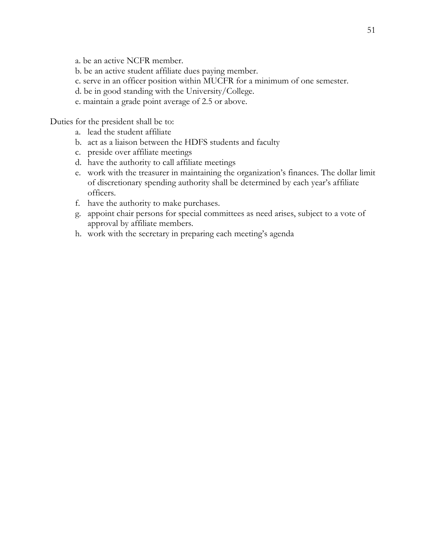a. be an active NCFR member.

- b. be an active student affiliate dues paying member.
- c. serve in an officer position within MUCFR for a minimum of one semester.
- d. be in good standing with the University/College.
- e. maintain a grade point average of 2.5 or above.

Duties for the president shall be to:

- a. lead the student affiliate
- b. act as a liaison between the HDFS students and faculty
- c. preside over affiliate meetings
- d. have the authority to call affiliate meetings
- e. work with the treasurer in maintaining the organization's finances. The dollar limit of discretionary spending authority shall be determined by each year's affiliate officers.
- f. have the authority to make purchases.
- g. appoint chair persons for special committees as need arises, subject to a vote of approval by affiliate members.
- h. work with the secretary in preparing each meeting's agenda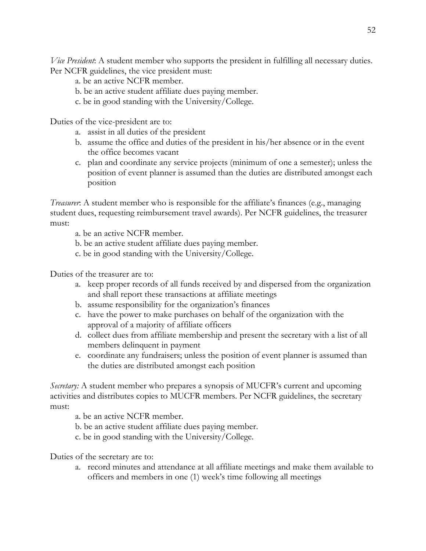*Vice President*: A student member who supports the president in fulfilling all necessary duties. Per NCFR guidelines, the vice president must:

- a. be an active NCFR member.
- b. be an active student affiliate dues paying member.
- c. be in good standing with the University/College.

Duties of the vice-president are to:

- a. assist in all duties of the president
- b. assume the office and duties of the president in his/her absence or in the event the office becomes vacant
- c. plan and coordinate any service projects (minimum of one a semester); unless the position of event planner is assumed than the duties are distributed amongst each position

*Treasurer*: A student member who is responsible for the affiliate's finances (e.g., managing student dues, requesting reimbursement travel awards). Per NCFR guidelines, the treasurer must:

a. be an active NCFR member.

- b. be an active student affiliate dues paying member.
- c. be in good standing with the University/College.

Duties of the treasurer are to:

- a. keep proper records of all funds received by and dispersed from the organization and shall report these transactions at affiliate meetings
- b. assume responsibility for the organization's finances
- c. have the power to make purchases on behalf of the organization with the approval of a majority of affiliate officers
- d. collect dues from affiliate membership and present the secretary with a list of all members delinquent in payment
- e. coordinate any fundraisers; unless the position of event planner is assumed than the duties are distributed amongst each position

*Secretary:* A student member who prepares a synopsis of MUCFR's current and upcoming activities and distributes copies to MUCFR members. Per NCFR guidelines, the secretary must:

a. be an active NCFR member.

- b. be an active student affiliate dues paying member.
- c. be in good standing with the University/College.

Duties of the secretary are to:

a. record minutes and attendance at all affiliate meetings and make them available to officers and members in one (1) week's time following all meetings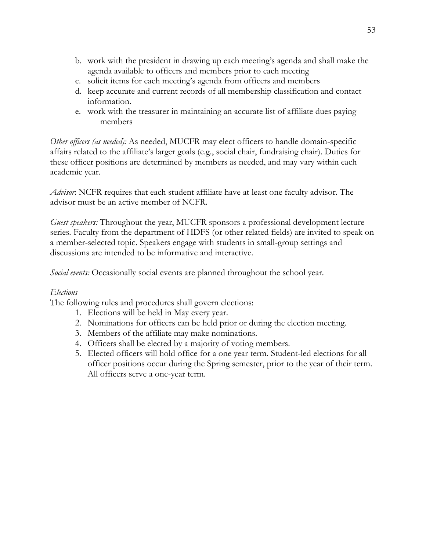- b. work with the president in drawing up each meeting's agenda and shall make the agenda available to officers and members prior to each meeting
- c. solicit items for each meeting's agenda from officers and members
- d. keep accurate and current records of all membership classification and contact information.
- e. work with the treasurer in maintaining an accurate list of affiliate dues paying members

*Other officers (as needed):* As needed, MUCFR may elect officers to handle domain-specific affairs related to the affiliate's larger goals (e.g., social chair, fundraising chair). Duties for these officer positions are determined by members as needed, and may vary within each academic year.

*Advisor*: NCFR requires that each student affiliate have at least one faculty advisor. The advisor must be an active member of NCFR.

*Guest speakers:* Throughout the year, MUCFR sponsors a professional development lecture series. Faculty from the department of HDFS (or other related fields) are invited to speak on a member-selected topic. Speakers engage with students in small-group settings and discussions are intended to be informative and interactive.

*Social events:* Occasionally social events are planned throughout the school year.

### *Elections*

The following rules and procedures shall govern elections:

- 1. Elections will be held in May every year.
- 2. Nominations for officers can be held prior or during the election meeting.
- 3. Members of the affiliate may make nominations.
- 4. Officers shall be elected by a majority of voting members.
- 5. Elected officers will hold office for a one year term. Student-led elections for all officer positions occur during the Spring semester, prior to the year of their term. All officers serve a one-year term.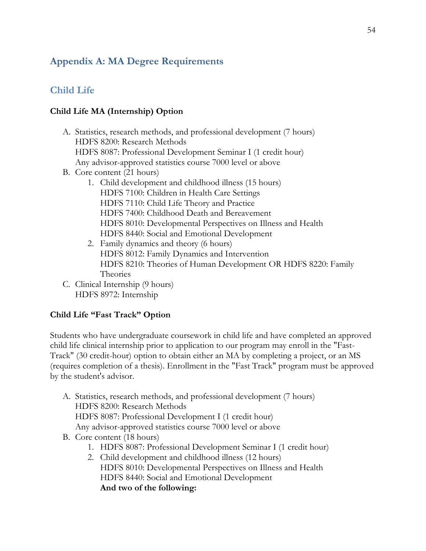## <span id="page-53-0"></span>**Appendix A: MA Degree Requirements**

## <span id="page-53-1"></span>**Child Life**

### **Child Life MA (Internship) Option**

- A. Statistics, research methods, and professional development (7 hours) HDFS 8200: Research Methods HDFS 8087: Professional Development Seminar I (1 credit hour) Any advisor-approved statistics course 7000 level or above
- B. Core content (21 hours)
	- 1. Child development and childhood illness (15 hours) HDFS 7100: Children in Health Care Settings HDFS 7110: Child Life Theory and Practice HDFS 7400: Childhood Death and Bereavement HDFS 8010: Developmental Perspectives on Illness and Health HDFS 8440: Social and Emotional Development
	- 2. Family dynamics and theory (6 hours) HDFS 8012: Family Dynamics and Intervention HDFS 8210: Theories of Human Development OR HDFS 8220: Family Theories
- C. Clinical Internship (9 hours) HDFS 8972: Internship

### **Child Life "Fast Track" Option**

Students who have undergraduate coursework in child life and have completed an approved child life clinical internship prior to application to our program may enroll in the "Fast-Track" (30 credit-hour) option to obtain either an MA by completing a project, or an MS (requires completion of a thesis). Enrollment in the "Fast Track" program must be approved by the student's advisor.

- A. Statistics, research methods, and professional development (7 hours) HDFS 8200: Research Methods HDFS 8087: Professional Development I (1 credit hour) Any advisor-approved statistics course 7000 level or above
- B. Core content (18 hours)
	- 1. HDFS 8087: Professional Development Seminar I (1 credit hour)
	- 2. Child development and childhood illness (12 hours) HDFS 8010: Developmental Perspectives on Illness and Health HDFS 8440: Social and Emotional Development **And two of the following:**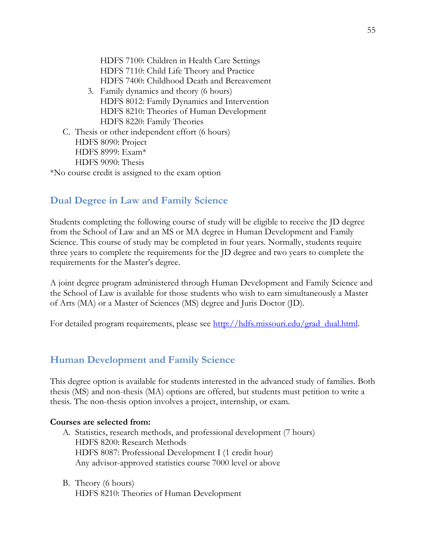HDFS 7100: Children in Health Care Settings HDFS 7110: Child Life Theory and Practice HDFS 7400: Childhood Death and Bereavement

- 3. Family dynamics and theory (6 hours) HDFS 8012: Family Dynamics and Intervention HDFS 8210: Theories of Human Development HDFS 8220: Family Theories
- C. Thesis or other independent effort (6 hours) HDFS 8090: Project HDFS 8999: Exam\* HDFS 9090: Thesis

\*No course credit is assigned to the exam option

## <span id="page-54-0"></span>**Dual Degree in Law and Family Science**

Students completing the following course of study will be eligible to receive the JD degree from the School of Law and an MS or MA degree in Human Development and Family Science. This course of study may be completed in four years. Normally, students require three years to complete the requirements for the JD degree and two years to complete the requirements for the Master's degree.

A joint degree program administered through Human Development and Family Science and the School of Law is available for those students who wish to earn simultaneously a Master of Arts (MA) or a Master of Sciences (MS) degree and Juris Doctor (JD).

For detailed program requirements, please see [http://hdfs.missouri.edu/grad\\_dual.html.](http://hdfs.missouri.edu/grad_dual.html)

## <span id="page-54-1"></span>**Human Development and Family Science**

This degree option is available for students interested in the advanced study of families. Both thesis (MS) and non-thesis (MA) options are offered, but students must petition to write a thesis. The non-thesis option involves a project, internship, or exam.

#### **Courses are selected from:**

- A. Statistics, research methods, and professional development (7 hours) HDFS 8200: Research Methods HDFS 8087: Professional Development I (1 credit hour) Any advisor-approved statistics course 7000 level or above
- B. Theory (6 hours) HDFS 8210: Theories of Human Development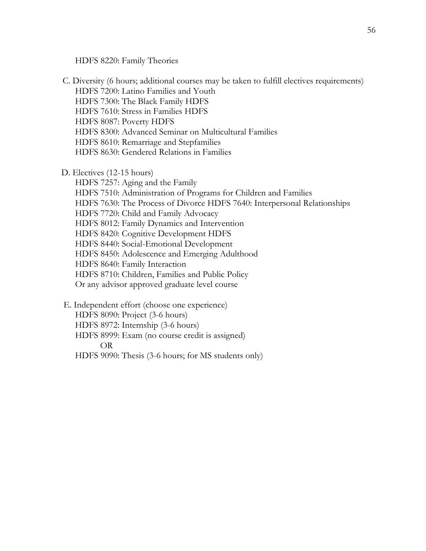HDFS 8220: Family Theories

- C. Diversity (6 hours; additional courses may be taken to fulfill electives requirements) HDFS 7200: Latino Families and Youth HDFS 7300: The Black Family HDFS HDFS 7610: Stress in Families HDFS HDFS 8087: Poverty HDFS HDFS 8300: Advanced Seminar on Multicultural Families HDFS 8610: Remarriage and Stepfamilies HDFS 8630: Gendered Relations in Families
- D. Electives (12-15 hours)

HDFS 7257: Aging and the Family HDFS 7510: Administration of Programs for Children and Families HDFS 7630: The Process of Divorce HDFS 7640: Interpersonal Relationships HDFS 7720: Child and Family Advocacy HDFS 8012: Family Dynamics and Intervention HDFS 8420: Cognitive Development HDFS HDFS 8440: Social-Emotional Development HDFS 8450: Adolescence and Emerging Adulthood HDFS 8640: Family Interaction HDFS 8710: Children, Families and Public Policy Or any advisor approved graduate level course

- E. Independent effort (choose one experience)
	- HDFS 8090: Project (3-6 hours)
	- HDFS 8972: Internship (3-6 hours)
	- HDFS 8999: Exam (no course credit is assigned) OR
	- HDFS 9090: Thesis (3-6 hours; for MS students only)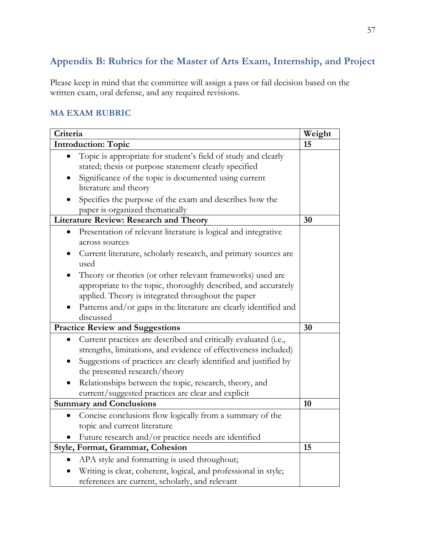# <span id="page-56-0"></span>**Appendix B: Rubrics for the Master of Arts Exam, Internship, and Project**

Please keep in mind that the committee will assign a pass or fail decision based on the written exam, oral defense, and any required revisions.

### **MA EXAM RUBRIC**

| Criteria                                                                                                                           | Weight |
|------------------------------------------------------------------------------------------------------------------------------------|--------|
| <b>Introduction: Topic</b>                                                                                                         | 15     |
| Topic is appropriate for student's field of study and clearly<br>stated; thesis or purpose statement clearly specified             |        |
| Significance of the topic is documented using current<br>literature and theory                                                     |        |
| Specifies the purpose of the exam and describes how the<br>paper is organized thematically                                         |        |
| <b>Literature Review: Research and Theory</b>                                                                                      | 30     |
| Presentation of relevant literature is logical and integrative<br>across sources                                                   |        |
| Current literature, scholarly research, and primary sources are<br>used                                                            |        |
| Theory or theories (or other relevant frameworks) used are                                                                         |        |
| appropriate to the topic, thoroughly described, and accurately<br>applied. Theory is integrated throughout the paper               |        |
| Patterns and/or gaps in the literature are clearly identified and<br>discussed                                                     |        |
| <b>Practice Review and Suggestions</b>                                                                                             | 30     |
| Current practices are described and critically evaluated (i.e.,<br>strengths, limitations, and evidence of effectiveness included) |        |
| Suggestions of practices are clearly identified and justified by<br>the presented research/theory                                  |        |
| Relationships between the topic, research, theory, and<br>current/suggested practices are clear and explicit                       |        |
| <b>Summary and Conclusions</b>                                                                                                     | 10     |
| Concise conclusions flow logically from a summary of the                                                                           |        |
| topic and current literature                                                                                                       |        |
| Future research and/or practice needs are identified                                                                               |        |
| Style, Format, Grammar, Cohesion                                                                                                   | 15     |
| APA style and formatting is used throughout;                                                                                       |        |
| Writing is clear, coherent, logical, and professional in style;<br>references are current, scholarly, and relevant                 |        |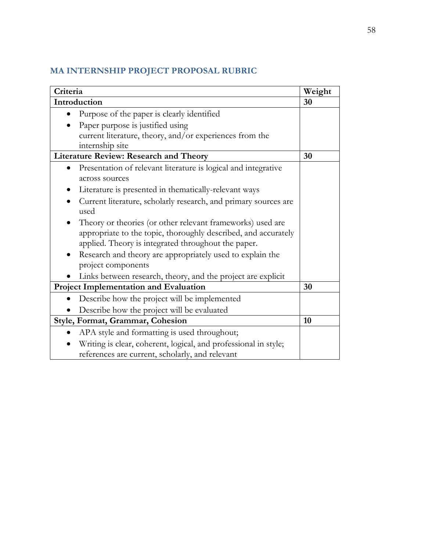# **MA INTERNSHIP PROJECT PROPOSAL RUBRIC**

| Criteria                                                                | Weight |
|-------------------------------------------------------------------------|--------|
| Introduction                                                            | 30     |
| Purpose of the paper is clearly identified                              |        |
| Paper purpose is justified using                                        |        |
| current literature, theory, and/or experiences from the                 |        |
| internship site                                                         |        |
| <b>Literature Review: Research and Theory</b>                           | 30     |
| Presentation of relevant literature is logical and integrative          |        |
| across sources                                                          |        |
| Literature is presented in thematically-relevant ways                   |        |
| Current literature, scholarly research, and primary sources are         |        |
| used                                                                    |        |
| Theory or theories (or other relevant frameworks) used are<br>$\bullet$ |        |
| appropriate to the topic, thoroughly described, and accurately          |        |
| applied. Theory is integrated throughout the paper.                     |        |
| Research and theory are appropriately used to explain the               |        |
| project components                                                      |        |
| Links between research, theory, and the project are explicit            |        |
| <b>Project Implementation and Evaluation</b>                            | 30     |
| Describe how the project will be implemented                            |        |
| Describe how the project will be evaluated                              |        |
| <b>Style, Format, Grammar, Cohesion</b>                                 | 10     |
| APA style and formatting is used throughout;                            |        |
| Writing is clear, coherent, logical, and professional in style;         |        |
| references are current, scholarly, and relevant                         |        |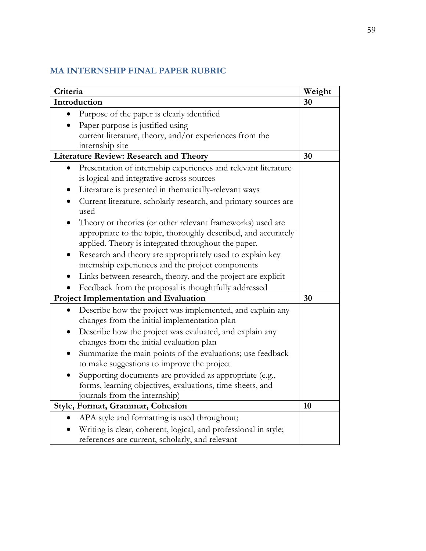## **MA INTERNSHIP FINAL PAPER RUBRIC**

| Criteria                                                                                                                                                                            | Weight |
|-------------------------------------------------------------------------------------------------------------------------------------------------------------------------------------|--------|
| Introduction                                                                                                                                                                        | 30     |
| Purpose of the paper is clearly identified                                                                                                                                          |        |
| Paper purpose is justified using                                                                                                                                                    |        |
| current literature, theory, and/or experiences from the                                                                                                                             |        |
| internship site                                                                                                                                                                     |        |
| <b>Literature Review: Research and Theory</b>                                                                                                                                       | 30     |
| Presentation of internship experiences and relevant literature                                                                                                                      |        |
| is logical and integrative across sources                                                                                                                                           |        |
| Literature is presented in thematically-relevant ways                                                                                                                               |        |
| Current literature, scholarly research, and primary sources are<br>used                                                                                                             |        |
| Theory or theories (or other relevant frameworks) used are<br>appropriate to the topic, thoroughly described, and accurately<br>applied. Theory is integrated throughout the paper. |        |
| Research and theory are appropriately used to explain key                                                                                                                           |        |
| internship experiences and the project components                                                                                                                                   |        |
| Links between research, theory, and the project are explicit                                                                                                                        |        |
| Feedback from the proposal is thoughtfully addressed                                                                                                                                |        |
| <b>Project Implementation and Evaluation</b>                                                                                                                                        | 30     |
| Describe how the project was implemented, and explain any<br>changes from the initial implementation plan                                                                           |        |
| Describe how the project was evaluated, and explain any<br>changes from the initial evaluation plan                                                                                 |        |
| Summarize the main points of the evaluations; use feedback<br>to make suggestions to improve the project                                                                            |        |
| Supporting documents are provided as appropriate (e.g.,                                                                                                                             |        |
| forms, learning objectives, evaluations, time sheets, and                                                                                                                           |        |
| journals from the internship)                                                                                                                                                       |        |
| Style, Format, Grammar, Cohesion                                                                                                                                                    | 10     |
| APA style and formatting is used throughout;                                                                                                                                        |        |
| Writing is clear, coherent, logical, and professional in style;                                                                                                                     |        |
| references are current, scholarly, and relevant                                                                                                                                     |        |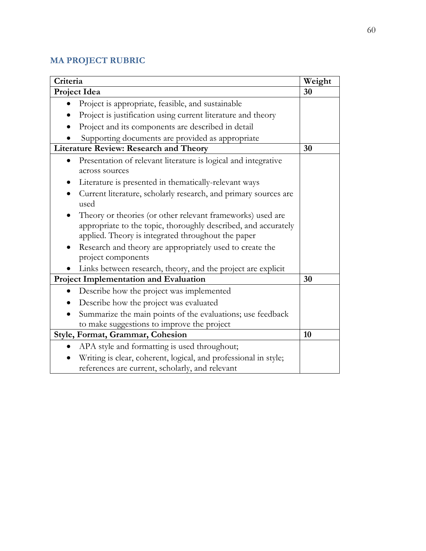## **MA PROJECT RUBRIC**

| Criteria                                                                                                                                                                           | Weight |
|------------------------------------------------------------------------------------------------------------------------------------------------------------------------------------|--------|
| Project Idea                                                                                                                                                                       | 30     |
| Project is appropriate, feasible, and sustainable                                                                                                                                  |        |
| Project is justification using current literature and theory                                                                                                                       |        |
| Project and its components are described in detail                                                                                                                                 |        |
| Supporting documents are provided as appropriate                                                                                                                                   |        |
| <b>Literature Review: Research and Theory</b>                                                                                                                                      | 30     |
| Presentation of relevant literature is logical and integrative<br>across sources                                                                                                   |        |
| Literature is presented in thematically-relevant ways                                                                                                                              |        |
| Current literature, scholarly research, and primary sources are<br>used                                                                                                            |        |
| Theory or theories (or other relevant frameworks) used are<br>appropriate to the topic, thoroughly described, and accurately<br>applied. Theory is integrated throughout the paper |        |
| Research and theory are appropriately used to create the<br>project components                                                                                                     |        |
| Links between research, theory, and the project are explicit                                                                                                                       |        |
| Project Implementation and Evaluation                                                                                                                                              | 30     |
| Describe how the project was implemented                                                                                                                                           |        |
| Describe how the project was evaluated                                                                                                                                             |        |
| Summarize the main points of the evaluations; use feedback                                                                                                                         |        |
| to make suggestions to improve the project                                                                                                                                         |        |
| Style, Format, Grammar, Cohesion                                                                                                                                                   | 10     |
| APA style and formatting is used throughout;                                                                                                                                       |        |
| Writing is clear, coherent, logical, and professional in style;<br>references are current, scholarly, and relevant                                                                 |        |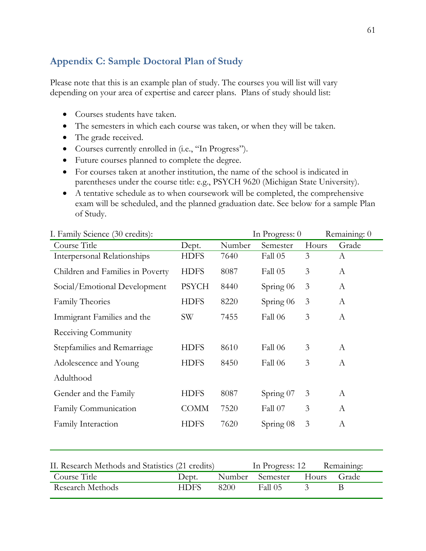## <span id="page-60-0"></span>**Appendix C: Sample Doctoral Plan of Study**

Please note that this is an example plan of study. The courses you will list will vary depending on your area of expertise and career plans. Plans of study should list:

- Courses students have taken.
- The semesters in which each course was taken, or when they will be taken.
- The grade received.
- Courses currently enrolled in (i.e., "In Progress").
- Future courses planned to complete the degree.
- For courses taken at another institution, the name of the school is indicated in parentheses under the course title: e.g., PSYCH 9620 (Michigan State University).
- A tentative schedule as to when coursework will be completed, the comprehensive exam will be scheduled, and the planned graduation date. See below for a sample Plan of Study.

| I. Failmy Science (30 credits).                  |              |        | III PIOgiess. U |       | Remaining. 0     |
|--------------------------------------------------|--------------|--------|-----------------|-------|------------------|
| Course Title                                     | Dept.        | Number | Semester        | Hours | Grade            |
| <b>Interpersonal Relationships</b>               | <b>HDFS</b>  | 7640   | Fall 05         | 3     | A                |
| Children and Families in Poverty                 | <b>HDFS</b>  | 8087   | Fall 05         | 3     | A                |
| Social/Emotional Development                     | <b>PSYCH</b> | 8440   | Spring 06       | 3     | A                |
| <b>Family Theories</b>                           | <b>HDFS</b>  | 8220   | Spring 06       | 3     | $\boldsymbol{A}$ |
| Immigrant Families and the                       | <b>SW</b>    | 7455   | Fall 06         | 3     | A                |
| Receiving Community                              |              |        |                 |       |                  |
| Stepfamilies and Remarriage                      | <b>HDFS</b>  | 8610   | Fall 06         | 3     | $\boldsymbol{A}$ |
| Adolescence and Young                            | <b>HDFS</b>  | 8450   | Fall 06         | 3     | $\mathbf{A}$     |
| Adulthood                                        |              |        |                 |       |                  |
| Gender and the Family                            | <b>HDFS</b>  | 8087   | Spring 07       | 3     | A                |
| Family Communication                             | <b>COMM</b>  | 7520   | Fall 07         | 3     | A                |
| Family Interaction                               | <b>HDFS</b>  | 7620   | Spring 08       | 3     | $\mathbf{A}$     |
|                                                  |              |        |                 |       |                  |
| II. Research Methods and Statistics (21 credits) |              |        | In Progress: 12 |       | Remaining:       |
| Course Title                                     | Dept.        | Number | Semester        | Hours | Grade            |

Research Methods HDFS 8200 Fall 05 3 B

I. Family Science (30 credits): In Progress: 0 Remaining: 0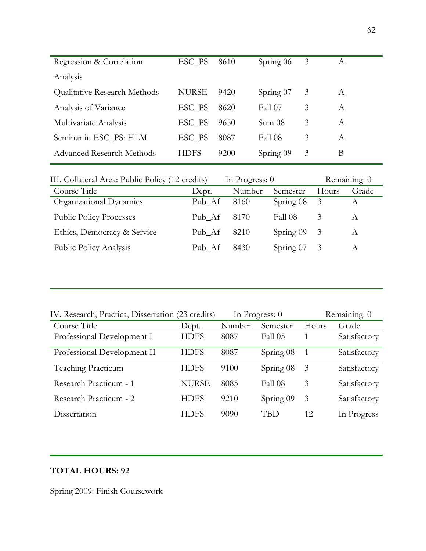| Regression & Correlation         | ESC_PS       | 8610 | Spring 06 | 3 | A |
|----------------------------------|--------------|------|-----------|---|---|
| Analysis                         |              |      |           |   |   |
| Qualitative Research Methods     | <b>NURSE</b> | 9420 | Spring 07 | 3 | А |
| Analysis of Variance             | ESC_PS       | 8620 | Fall 07   | 3 | A |
| Multivariate Analysis            | ESC_PS       | 9650 | Sum 08    | 3 | A |
| Seminar in ESC_PS: HLM           | ESC_PS       | 8087 | Fall 08   | 3 | A |
| <b>Advanced Research Methods</b> | HDFS         | 9200 | Spring 09 | 3 | В |
|                                  |              |      |           |   |   |

| III. Collateral Area: Public Policy (12 credits) | In Progress: 0 |        | Remaining: 0 |       |       |
|--------------------------------------------------|----------------|--------|--------------|-------|-------|
| Course Title                                     | Dept.          | Number | Semester     | Hours | Grade |
| Organizational Dynamics                          | Pub_Af         | 8160   | Spring $08$  | 3     |       |
| <b>Public Policy Processes</b>                   | Pub Af         | -8170  | Fall 08      | 3     | A     |
| Ethics, Democracy & Service                      | Pub_Af         | 8210   | Spring $09$  | 3     | A     |
| Public Policy Analysis                           | Pub Af         | 8430   | Spring $07$  | 3     |       |

| IV. Research, Practica, Dissertation (23 credits) |              | In Progress: $0$ | Remaining: 0 |                |              |
|---------------------------------------------------|--------------|------------------|--------------|----------------|--------------|
| Course Title                                      | Dept.        | Number           | Semester     | Hours          | Grade        |
| Professional Development I                        | <b>HDFS</b>  | 8087             | Fall 05      |                | Satisfactory |
| Professional Development II                       | <b>HDFS</b>  | 8087             | Spring 08    | $\overline{1}$ | Satisfactory |
| <b>Teaching Practicum</b>                         | <b>HDFS</b>  | 9100             | Spring 08    | 3              | Satisfactory |
| Research Practicum - 1                            | <b>NURSE</b> | 8085             | Fall 08      | 3              | Satisfactory |
| Research Practicum - 2                            | <b>HDFS</b>  | 9210             | Spring 09    | 3              | Satisfactory |
| Dissertation                                      | <b>HDFS</b>  | 9090             | TBD          | 12             | In Progress  |

## **TOTAL HOURS: 92**

Spring 2009: Finish Coursework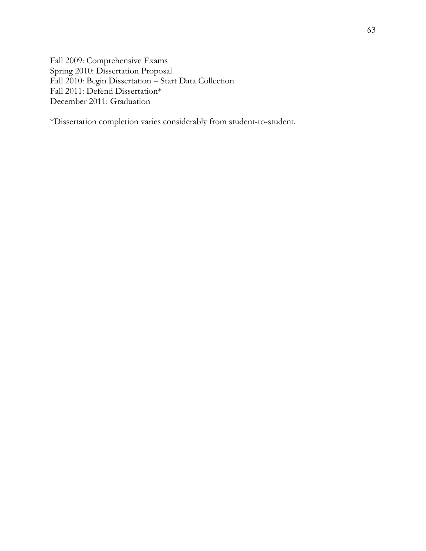Fall 2009: Comprehensive Exams Spring 2010: Dissertation Proposal Fall 2010: Begin Dissertation – Start Data Collection Fall 2011: Defend Dissertation\* December 2011: Graduation

\*Dissertation completion varies considerably from student-to-student.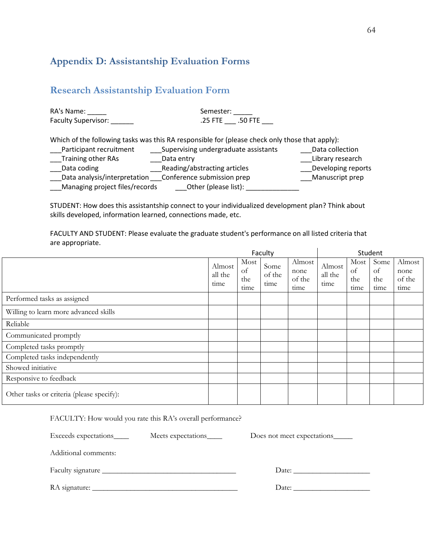## <span id="page-63-0"></span>**Appendix D: Assistantship Evaluation Forms**

### <span id="page-63-1"></span>**Research Assistantship Evaluation Form**

| RA's Name:<br>Faculty Supervisor: | Semester:<br>.25 FTE .50 FTE                                                                   |                    |
|-----------------------------------|------------------------------------------------------------------------------------------------|--------------------|
|                                   | Which of the following tasks was this RA responsible for (please check only those that apply): |                    |
| Participant recruitment           | Supervising undergraduate assistants                                                           | Data collection    |
| <b>Training other RAs</b>         | Data entry                                                                                     | Library research   |
| Data coding                       | Reading/abstracting articles                                                                   | Developing reports |
|                                   | Data analysis/interpretation ___ Conference submission prep                                    | Manuscript prep    |
| Managing project files/records    | Other (please list):                                                                           |                    |

STUDENT: How does this assistantship connect to your individualized development plan? Think about skills developed, information learned, connections made, etc.

FACULTY AND STUDENT: Please evaluate the graduate student's performance on all listed criteria that are appropriate.

|                                           | Faculty                   |                           |                        |                                  | Student                   |                           |                           |                                  |
|-------------------------------------------|---------------------------|---------------------------|------------------------|----------------------------------|---------------------------|---------------------------|---------------------------|----------------------------------|
|                                           | Almost<br>all the<br>time | Most<br>of<br>the<br>time | Some<br>of the<br>time | Almost<br>none<br>of the<br>time | Almost<br>all the<br>time | Most<br>of<br>the<br>time | Some<br>of<br>the<br>time | Almost<br>none<br>of the<br>time |
| Performed tasks as assigned               |                           |                           |                        |                                  |                           |                           |                           |                                  |
| Willing to learn more advanced skills     |                           |                           |                        |                                  |                           |                           |                           |                                  |
| Reliable                                  |                           |                           |                        |                                  |                           |                           |                           |                                  |
| Communicated promptly                     |                           |                           |                        |                                  |                           |                           |                           |                                  |
| Completed tasks promptly                  |                           |                           |                        |                                  |                           |                           |                           |                                  |
| Completed tasks independently             |                           |                           |                        |                                  |                           |                           |                           |                                  |
| Showed initiative                         |                           |                           |                        |                                  |                           |                           |                           |                                  |
| Responsive to feedback                    |                           |                           |                        |                                  |                           |                           |                           |                                  |
| Other tasks or criteria (please specify): |                           |                           |                        |                                  |                           |                           |                           |                                  |

FACULTY: How would you rate this RA's overall performance? Exceeds expectations\_\_\_\_ Meets expectations\_\_\_\_ Does not meet expectations\_\_\_\_ Additional comments: Faculty signature \_\_\_\_\_\_\_\_\_\_\_\_\_\_\_\_\_\_\_\_\_\_\_\_\_\_\_\_\_\_\_\_\_\_\_ Date: \_\_\_\_\_\_\_\_\_\_\_\_\_\_\_\_\_\_\_\_ RA signature: \_\_\_\_\_\_\_\_\_\_\_\_\_\_\_\_\_\_\_\_\_\_\_\_\_\_\_\_\_\_\_\_\_\_\_\_\_\_ Date: \_\_\_\_\_\_\_\_\_\_\_\_\_\_\_\_\_\_\_\_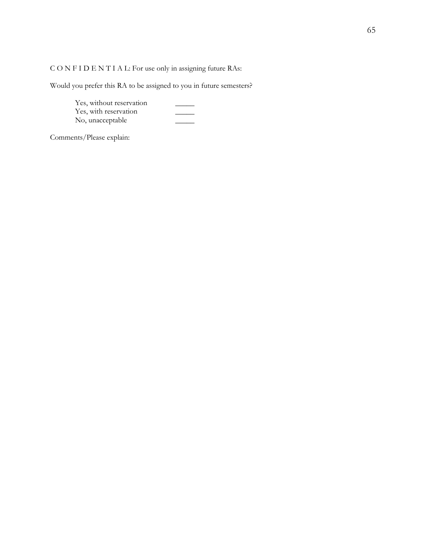C O N F I D E N T I A L: For use only in assigning future RAs:

Would you prefer this RA to be assigned to you in future semesters?

Yes, without reservation Yes, with reservation \_\_\_\_\_ No, unacceptable \_\_\_\_\_

Comments/Please explain: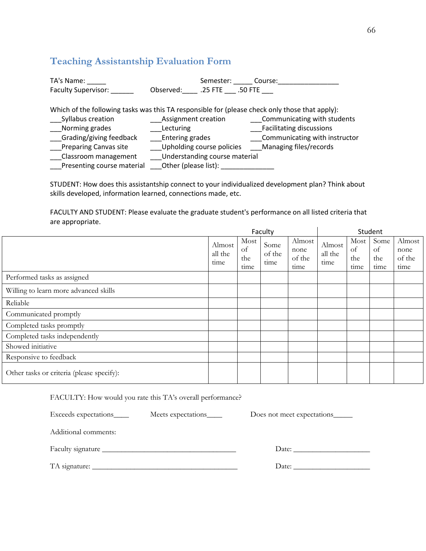## <span id="page-65-0"></span>**Teaching Assistantship Evaluation Form**

| TA's Name:<br><b>Faculty Supervisor:</b> | Semester: Course:<br>Observed: .25 FTE .50 FTE                                                                               |                               |
|------------------------------------------|------------------------------------------------------------------------------------------------------------------------------|-------------------------------|
| Syllabus creation                        | Which of the following tasks was this TA responsible for (please check only those that apply):<br><b>Assignment creation</b> | Communicating with students   |
| Norming grades                           | Lecturing                                                                                                                    | Facilitating discussions      |
| Grading/giving feedback                  | Entering grades                                                                                                              | Communicating with instructor |
| __Preparing Canvas site                  | Upholding course policies                                                                                                    | Managing files/records        |
| Classroom management                     | Understanding course material                                                                                                |                               |
| Presenting course material               | Other (please list):                                                                                                         |                               |

STUDENT: How does this assistantship connect to your individualized development plan? Think about skills developed, information learned, connections made, etc.

FACULTY AND STUDENT: Please evaluate the graduate student's performance on all listed criteria that are appropriate.

|                                           | Faculty                   |                           |                        | Student                          |                           |                           |                           |                                  |
|-------------------------------------------|---------------------------|---------------------------|------------------------|----------------------------------|---------------------------|---------------------------|---------------------------|----------------------------------|
|                                           | Almost<br>all the<br>time | Most<br>of<br>the<br>time | Some<br>of the<br>time | Almost<br>none<br>of the<br>time | Almost<br>all the<br>time | Most<br>of<br>the<br>time | Some<br>of<br>the<br>time | Almost<br>none<br>of the<br>time |
| Performed tasks as assigned               |                           |                           |                        |                                  |                           |                           |                           |                                  |
| Willing to learn more advanced skills     |                           |                           |                        |                                  |                           |                           |                           |                                  |
| Reliable                                  |                           |                           |                        |                                  |                           |                           |                           |                                  |
| Communicated promptly                     |                           |                           |                        |                                  |                           |                           |                           |                                  |
| Completed tasks promptly                  |                           |                           |                        |                                  |                           |                           |                           |                                  |
| Completed tasks independently             |                           |                           |                        |                                  |                           |                           |                           |                                  |
| Showed initiative                         |                           |                           |                        |                                  |                           |                           |                           |                                  |
| Responsive to feedback                    |                           |                           |                        |                                  |                           |                           |                           |                                  |
| Other tasks or criteria (please specify): |                           |                           |                        |                                  |                           |                           |                           |                                  |

FACULTY: How would you rate this TA's overall performance?

| Exceeds expectations | Meets expectations | Does not meet expectations______ |
|----------------------|--------------------|----------------------------------|
| Additional comments: |                    |                                  |
|                      |                    | Date:                            |
|                      |                    |                                  |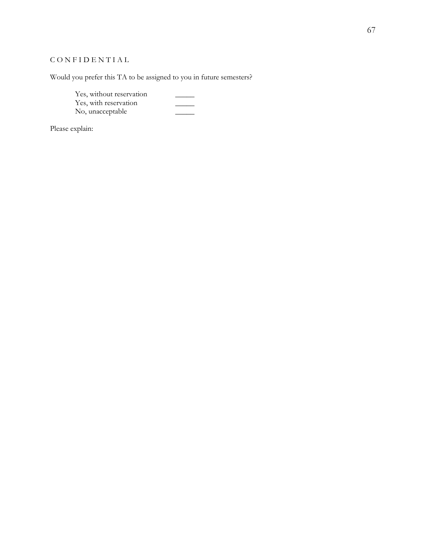### C O N F I D E N T I A L

Would you prefer this TA to be assigned to you in future semesters?

Yes, without reservation \_\_\_\_\_\_\_\_ Yes, with reservation \_\_\_\_\_ No, unacceptable \_\_\_\_\_

Please explain: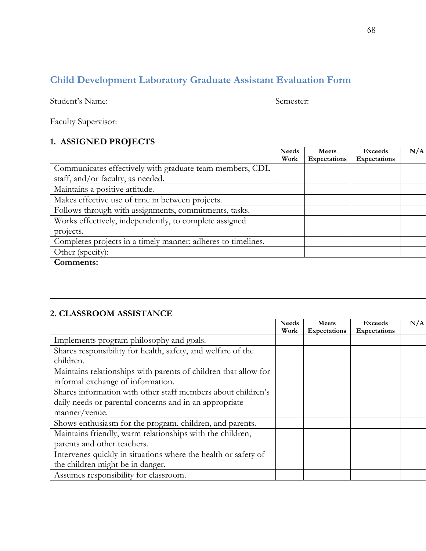# <span id="page-67-0"></span>**Child Development Laboratory Graduate Assistant Evaluation Form**

Student's Name: Semester: Semester:

Faculty Supervisor:

### **1. ASSIGNED PROJECTS**

|                                                              | <b>Needs</b> | <b>Meets</b>        | <b>Exceeds</b>      | N/A |
|--------------------------------------------------------------|--------------|---------------------|---------------------|-----|
|                                                              | Work         | <b>Expectations</b> | <b>Expectations</b> |     |
| Communicates effectively with graduate team members, CDL     |              |                     |                     |     |
| staff, and/or faculty, as needed.                            |              |                     |                     |     |
| Maintains a positive attitude.                               |              |                     |                     |     |
| Makes effective use of time in between projects.             |              |                     |                     |     |
| Follows through with assignments, commitments, tasks.        |              |                     |                     |     |
| Works effectively, independently, to complete assigned       |              |                     |                     |     |
| projects.                                                    |              |                     |                     |     |
| Completes projects in a timely manner; adheres to timelines. |              |                     |                     |     |
| Other (specify):                                             |              |                     |                     |     |
| Comments:                                                    |              |                     |                     |     |

## **2. CLASSROOM ASSISTANCE**

|                                                                 | <b>Needs</b> | <b>Meets</b> | <b>Exceeds</b> | N/A |
|-----------------------------------------------------------------|--------------|--------------|----------------|-----|
|                                                                 | Work         | Expectations | Expectations   |     |
| Implements program philosophy and goals.                        |              |              |                |     |
| Shares responsibility for health, safety, and welfare of the    |              |              |                |     |
| children.                                                       |              |              |                |     |
| Maintains relationships with parents of children that allow for |              |              |                |     |
| informal exchange of information.                               |              |              |                |     |
| Shares information with other staff members about children's    |              |              |                |     |
| daily needs or parental concerns and in an appropriate          |              |              |                |     |
| manner/venue.                                                   |              |              |                |     |
| Shows enthusiasm for the program, children, and parents.        |              |              |                |     |
| Maintains friendly, warm relationships with the children,       |              |              |                |     |
| parents and other teachers.                                     |              |              |                |     |
| Intervenes quickly in situations where the health or safety of  |              |              |                |     |
| the children might be in danger.                                |              |              |                |     |
| Assumes responsibility for classroom.                           |              |              |                |     |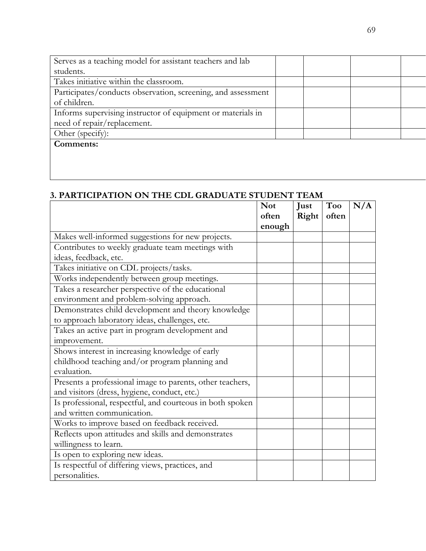| Serves as a teaching model for assistant teachers and lab    |  |  |
|--------------------------------------------------------------|--|--|
| students.                                                    |  |  |
| Takes initiative within the classroom.                       |  |  |
| Participates/conducts observation, screening, and assessment |  |  |
| of children.                                                 |  |  |
| Informs supervising instructor of equipment or materials in  |  |  |
| need of repair/replacement.                                  |  |  |
| Other (specify):                                             |  |  |
| Comments:                                                    |  |  |

## **3. PARTICIPATION ON THE CDL GRADUATE STUDENT TEAM**

|                                                           | <b>Not</b><br>often | Just<br>Right | Too<br>often | N/A |
|-----------------------------------------------------------|---------------------|---------------|--------------|-----|
|                                                           | enough              |               |              |     |
| Makes well-informed suggestions for new projects.         |                     |               |              |     |
| Contributes to weekly graduate team meetings with         |                     |               |              |     |
| ideas, feedback, etc.                                     |                     |               |              |     |
| Takes initiative on CDL projects/tasks.                   |                     |               |              |     |
| Works independently between group meetings.               |                     |               |              |     |
| Takes a researcher perspective of the educational         |                     |               |              |     |
| environment and problem-solving approach.                 |                     |               |              |     |
| Demonstrates child development and theory knowledge       |                     |               |              |     |
| to approach laboratory ideas, challenges, etc.            |                     |               |              |     |
| Takes an active part in program development and           |                     |               |              |     |
| improvement.                                              |                     |               |              |     |
| Shows interest in increasing knowledge of early           |                     |               |              |     |
| childhood teaching and/or program planning and            |                     |               |              |     |
| evaluation.                                               |                     |               |              |     |
| Presents a professional image to parents, other teachers, |                     |               |              |     |
| and visitors (dress, hygiene, conduct, etc.)              |                     |               |              |     |
| Is professional, respectful, and courteous in both spoken |                     |               |              |     |
| and written communication.                                |                     |               |              |     |
| Works to improve based on feedback received.              |                     |               |              |     |
| Reflects upon attitudes and skills and demonstrates       |                     |               |              |     |
| willingness to learn.                                     |                     |               |              |     |
| Is open to exploring new ideas.                           |                     |               |              |     |
| Is respectful of differing views, practices, and          |                     |               |              |     |
| personalities.                                            |                     |               |              |     |